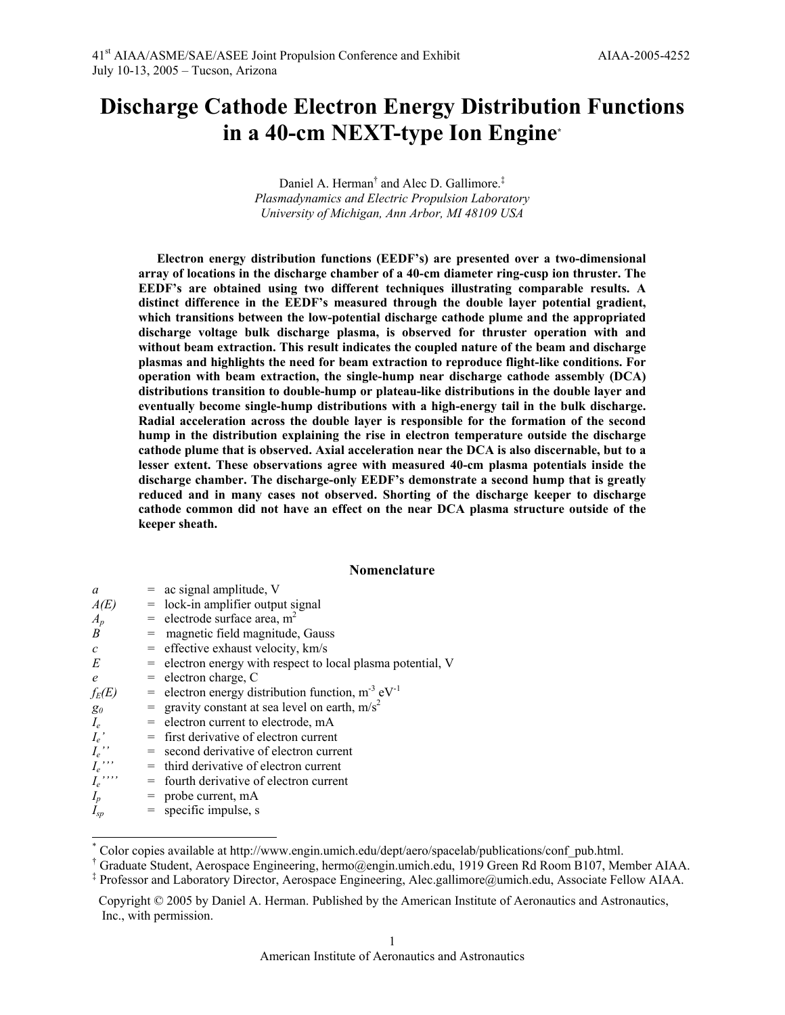# **Discharge Cathode Electron Energy Distribution Functions in a 40-cm NEXT-type Ion Engine\***

Daniel A. Herman<sup>†</sup> and Alec D. Gallimore.<sup>‡</sup> *Plasmadynamics and Electric Propulsion Laboratory University of Michigan, Ann Arbor, MI 48109 USA* 

**Electron energy distribution functions (EEDF's) are presented over a two-dimensional array of locations in the discharge chamber of a 40-cm diameter ring-cusp ion thruster. The EEDF's are obtained using two different techniques illustrating comparable results. A distinct difference in the EEDF's measured through the double layer potential gradient, which transitions between the low-potential discharge cathode plume and the appropriated discharge voltage bulk discharge plasma, is observed for thruster operation with and without beam extraction. This result indicates the coupled nature of the beam and discharge plasmas and highlights the need for beam extraction to reproduce flight-like conditions. For operation with beam extraction, the single-hump near discharge cathode assembly (DCA) distributions transition to double-hump or plateau-like distributions in the double layer and eventually become single-hump distributions with a high-energy tail in the bulk discharge. Radial acceleration across the double layer is responsible for the formation of the second hump in the distribution explaining the rise in electron temperature outside the discharge cathode plume that is observed. Axial acceleration near the DCA is also discernable, but to a lesser extent. These observations agree with measured 40-cm plasma potentials inside the discharge chamber. The discharge-only EEDF's demonstrate a second hump that is greatly reduced and in many cases not observed. Shorting of the discharge keeper to discharge cathode common did not have an effect on the near DCA plasma structure outside of the keeper sheath.** 

# **Nomenclature**

| a            | $=$ ac signal amplitude, V                                  |
|--------------|-------------------------------------------------------------|
| A(E)         | $=$ lock-in amplifier output signal                         |
| $A_p$        | $=$ electrode surface area, m <sup>2</sup>                  |
| B            | $=$ magnetic field magnitude, Gauss                         |
| $\mathcal C$ | $=$ effective exhaust velocity, km/s                        |
| E            | = electron energy with respect to local plasma potential, V |
| $\epsilon$   | $=$ electron charge, C                                      |
| $f_E(E)$     | = electron energy distribution function, $m^{-3} eV^{-1}$   |
| $g_0$        | = gravity constant at sea level on earth, $m/s^2$           |
| $I_e$        | $=$ electron current to electrode, mA                       |
| $I_e$        | $=$ first derivative of electron current                    |
| $I_e$ "      | $=$ second derivative of electron current                   |
| $I_e$ "      | $=$ third derivative of electron current                    |
| $I_e$ '''    | = fourth derivative of electron current                     |
| $I_p$        | $=$ probe current, mA                                       |
| $I_{sp}$     | $=$ specific impulse, s                                     |

-

<sup>\*</sup> Color copies available at http://www.engin.umich.edu/dept/aero/spacelab/publications/conf\_pub.html.

<sup>†</sup> Graduate Student, Aerospace Engineering, hermo@engin.umich.edu, 1919 Green Rd Room B107, Member AIAA.

<sup>‡</sup> Professor and Laboratory Director, Aerospace Engineering, Alec.gallimore@umich.edu, Associate Fellow AIAA.

Copyright © 2005 by Daniel A. Herman. Published by the American Institute of Aeronautics and Astronautics, Inc., with permission.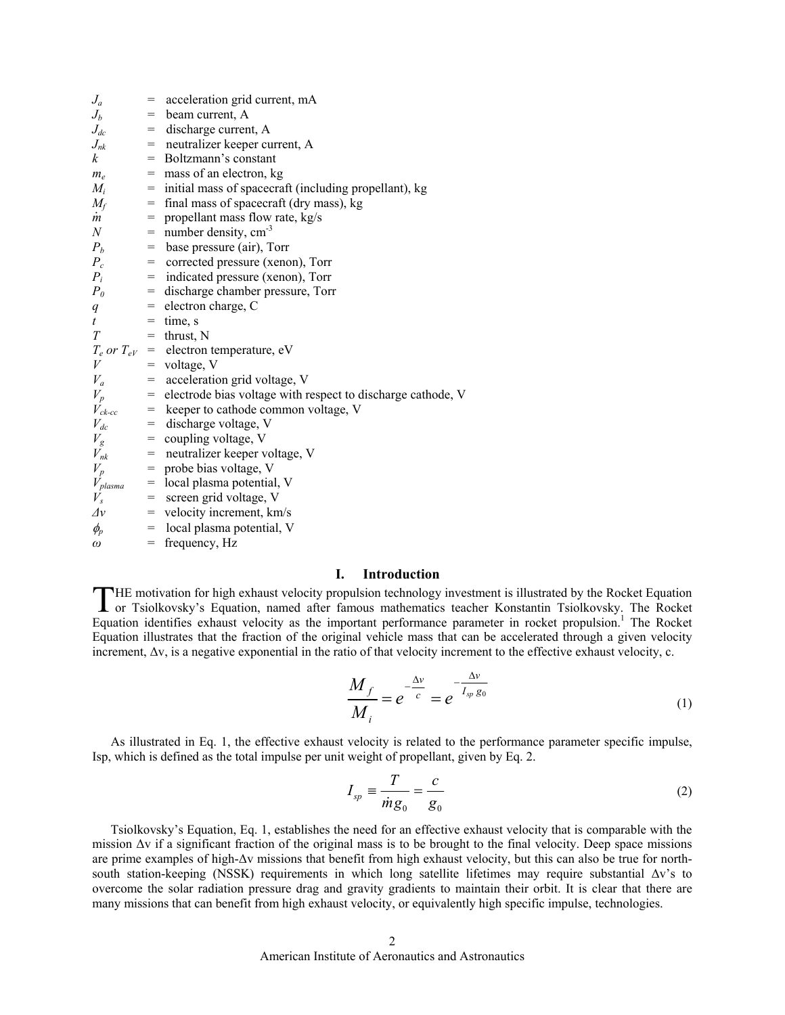| $J_a$                             | $=$ | acceleration grid current, mA                                 |
|-----------------------------------|-----|---------------------------------------------------------------|
| $J_h$                             | $=$ | beam current, A                                               |
| $J_{dc}$                          | $=$ | discharge current, A                                          |
| $J_{nk}$                          | $=$ | neutralizer keeper current, A                                 |
| $\boldsymbol{k}$                  | $=$ | Boltzmann's constant                                          |
| $m_e$                             |     | $=$ mass of an electron, kg                                   |
| $M_i$                             |     | = initial mass of spacecraft (including propellant), kg       |
| $M_f$                             |     | = final mass of spacecraft (dry mass), kg                     |
| m                                 | $=$ | propellant mass flow rate, kg/s                               |
| $\boldsymbol{N}$                  | $=$ | number density, cm <sup>-3</sup>                              |
| $P_b$                             |     | $=$ base pressure (air), Torr                                 |
| $P_c$                             |     | = corrected pressure (xenon), Torr                            |
| $P_i$                             |     | = indicated pressure (xenon), Torr                            |
| $P_0$                             |     | = discharge chamber pressure, Torr                            |
| q                                 |     | $=$ electron charge, C                                        |
| $\mathfrak{t}$                    |     | $=$ time, s                                                   |
| T                                 |     | $=$ thrust, N                                                 |
|                                   |     | $T_e$ or $T_{eV}$ = electron temperature, eV                  |
| V                                 | $=$ | voltage, V                                                    |
| $V_a$                             | $=$ | acceleration grid voltage, V                                  |
| $V_p$                             |     | = electrode bias voltage with respect to discharge cathode, V |
| $V_{ck-cc}$                       |     | $=$ keeper to cathode common voltage, V                       |
| $V_{dc}$                          |     | $=$ discharge voltage, V                                      |
| $V_{\rm g}$                       | $=$ | coupling voltage, V                                           |
| $V_{nk}$                          | $=$ | neutralizer keeper voltage, V                                 |
| $V_p$                             | $=$ | probe bias voltage, V                                         |
| $V_{plasma}$                      |     | $=$ local plasma potential, V                                 |
| $V_{s}$                           |     | $=$ screen grid voltage, V                                    |
| $\varDelta v$                     | $=$ | velocity increment, km/s                                      |
| $\phi_{\scriptscriptstyle\!\! p}$ |     | $=$ local plasma potential, V                                 |
| $\omega$                          |     | $=$ frequency, Hz                                             |

# **I. Introduction**

HE motivation for high exhaust velocity propulsion technology investment is illustrated by the Rocket Equation THE motivation for high exhaust velocity propulsion technology investment is illustrated by the Rocket Equation<br>
or Tsiolkovsky's Equation, named after famous mathematics teacher Konstantin Tsiolkovsky. The Rocket Equation identifies exhaust velocity as the important performance parameter in rocket propulsion.<sup>1</sup> The Rocket Equation illustrates that the fraction of the original vehicle mass that can be accelerated through a given velocity increment, ∆v, is a negative exponential in the ratio of that velocity increment to the effective exhaust velocity, c.

$$
\frac{M_f}{M_i} = e^{-\frac{\Delta v}{c}} = e^{-\frac{\Delta v}{I_{sp}g_0}}
$$
\n(1)

As illustrated in Eq. 1, the effective exhaust velocity is related to the performance parameter specific impulse, Isp, which is defined as the total impulse per unit weight of propellant, given by Eq. 2.

$$
I_{sp} \equiv \frac{T}{mg_0} = \frac{c}{g_0} \tag{2}
$$

Tsiolkovsky's Equation, Eq. 1, establishes the need for an effective exhaust velocity that is comparable with the mission ∆v if a significant fraction of the original mass is to be brought to the final velocity. Deep space missions are prime examples of high-∆v missions that benefit from high exhaust velocity, but this can also be true for northsouth station-keeping (NSSK) requirements in which long satellite lifetimes may require substantial ∆v's to overcome the solar radiation pressure drag and gravity gradients to maintain their orbit. It is clear that there are many missions that can benefit from high exhaust velocity, or equivalently high specific impulse, technologies.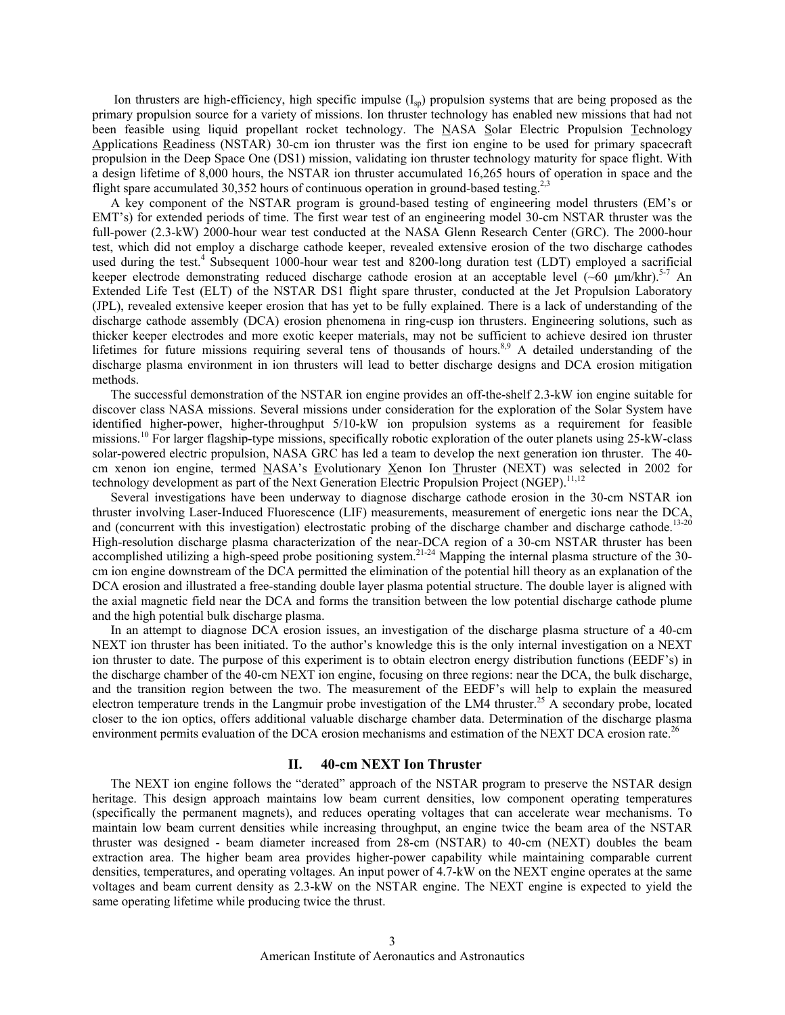Ion thrusters are high-efficiency, high specific impulse  $(I_{\rm SD})$  propulsion systems that are being proposed as the primary propulsion source for a variety of missions. Ion thruster technology has enabled new missions that had not been feasible using liquid propellant rocket technology. The NASA Solar Electric Propulsion Technology Applications Readiness (NSTAR) 30-cm ion thruster was the first ion engine to be used for primary spacecraft propulsion in the Deep Space One (DS1) mission, validating ion thruster technology maturity for space flight. With a design lifetime of 8,000 hours, the NSTAR ion thruster accumulated 16,265 hours of operation in space and the flight spare accumulated 30,352 hours of continuous operation in ground-based testing.<sup>2,3</sup>

A key component of the NSTAR program is ground-based testing of engineering model thrusters (EM's or EMT's) for extended periods of time. The first wear test of an engineering model 30-cm NSTAR thruster was the full-power (2.3-kW) 2000-hour wear test conducted at the NASA Glenn Research Center (GRC). The 2000-hour test, which did not employ a discharge cathode keeper, revealed extensive erosion of the two discharge cathodes used during the test.<sup>4</sup> Subsequent 1000-hour wear test and 8200-long duration test (LDT) employed a sacrificial keeper electrode demonstrating reduced discharge cathode erosion at an acceptable level  $(\sim 60 \text{ µm/khr})^{5-7}$  An Extended Life Test (ELT) of the NSTAR DS1 flight spare thruster, conducted at the Jet Propulsion Laboratory (JPL), revealed extensive keeper erosion that has yet to be fully explained. There is a lack of understanding of the discharge cathode assembly (DCA) erosion phenomena in ring-cusp ion thrusters. Engineering solutions, such as thicker keeper electrodes and more exotic keeper materials, may not be sufficient to achieve desired ion thruster lifetimes for future missions requiring several tens of thousands of hours.<sup>8,9</sup> A detailed understanding of the discharge plasma environment in ion thrusters will lead to better discharge designs and DCA erosion mitigation methods.

The successful demonstration of the NSTAR ion engine provides an off-the-shelf 2.3-kW ion engine suitable for discover class NASA missions. Several missions under consideration for the exploration of the Solar System have identified higher-power, higher-throughput 5/10-kW ion propulsion systems as a requirement for feasible missions.10 For larger flagship-type missions, specifically robotic exploration of the outer planets using 25-kW-class solar-powered electric propulsion, NASA GRC has led a team to develop the next generation ion thruster. The 40 cm xenon ion engine, termed NASA's Evolutionary Xenon Ion Thruster (NEXT) was selected in 2002 for technology development as part of the Next Generation Electric Propulsion Project (NGEP).<sup>11,12</sup>

Several investigations have been underway to diagnose discharge cathode erosion in the 30-cm NSTAR ion thruster involving Laser-Induced Fluorescence (LIF) measurements, measurement of energetic ions near the DCA, and (concurrent with this investigation) electrostatic probing of the discharge chamber and discharge cathode.<sup>13-20</sup> High-resolution discharge plasma characterization of the near-DCA region of a 30-cm NSTAR thruster has been accomplished utilizing a high-speed probe positioning system.<sup>21-24</sup> Mapping the internal plasma structure of the 30cm ion engine downstream of the DCA permitted the elimination of the potential hill theory as an explanation of the DCA erosion and illustrated a free-standing double layer plasma potential structure. The double layer is aligned with the axial magnetic field near the DCA and forms the transition between the low potential discharge cathode plume and the high potential bulk discharge plasma.

In an attempt to diagnose DCA erosion issues, an investigation of the discharge plasma structure of a 40-cm NEXT ion thruster has been initiated. To the author's knowledge this is the only internal investigation on a NEXT ion thruster to date. The purpose of this experiment is to obtain electron energy distribution functions (EEDF's) in the discharge chamber of the 40-cm NEXT ion engine, focusing on three regions: near the DCA, the bulk discharge, and the transition region between the two. The measurement of the EEDF's will help to explain the measured electron temperature trends in the Langmuir probe investigation of the LM4 thruster.25 A secondary probe, located closer to the ion optics, offers additional valuable discharge chamber data. Determination of the discharge plasma environment permits evaluation of the DCA erosion mechanisms and estimation of the NEXT DCA erosion rate.<sup>26</sup>

### **II. 40-cm NEXT Ion Thruster**

The NEXT ion engine follows the "derated" approach of the NSTAR program to preserve the NSTAR design heritage. This design approach maintains low beam current densities, low component operating temperatures (specifically the permanent magnets), and reduces operating voltages that can accelerate wear mechanisms. To maintain low beam current densities while increasing throughput, an engine twice the beam area of the NSTAR thruster was designed - beam diameter increased from 28-cm (NSTAR) to 40-cm (NEXT) doubles the beam extraction area. The higher beam area provides higher-power capability while maintaining comparable current densities, temperatures, and operating voltages. An input power of 4.7-kW on the NEXT engine operates at the same voltages and beam current density as 2.3-kW on the NSTAR engine. The NEXT engine is expected to yield the same operating lifetime while producing twice the thrust.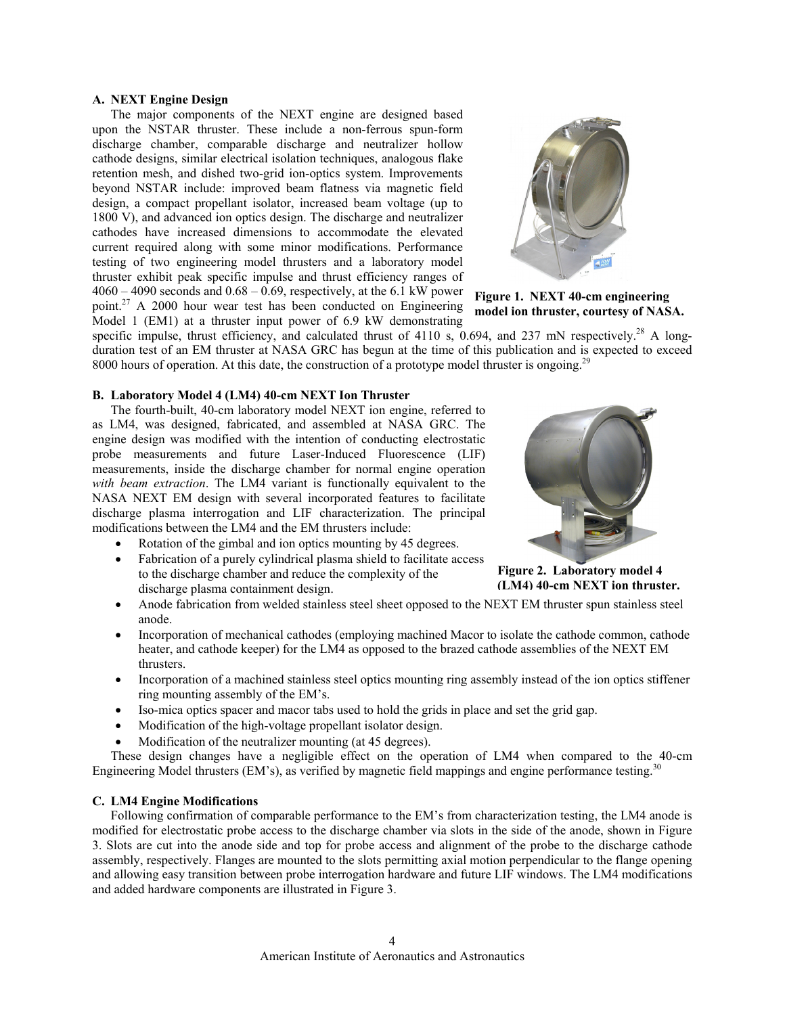# **A. NEXT Engine Design**

The major components of the NEXT engine are designed based upon the NSTAR thruster. These include a non-ferrous spun-form discharge chamber, comparable discharge and neutralizer hollow cathode designs, similar electrical isolation techniques, analogous flake retention mesh, and dished two-grid ion-optics system. Improvements beyond NSTAR include: improved beam flatness via magnetic field design, a compact propellant isolator, increased beam voltage (up to 1800 V), and advanced ion optics design. The discharge and neutralizer cathodes have increased dimensions to accommodate the elevated current required along with some minor modifications. Performance testing of two engineering model thrusters and a laboratory model thruster exhibit peak specific impulse and thrust efficiency ranges of  $4060 - 4090$  seconds and  $0.68 - 0.69$ , respectively, at the 6.1 kW power point.27 A 2000 hour wear test has been conducted on Engineering Model 1 (EM1) at a thruster input power of 6.9 kW demonstrating



**Figure 1. NEXT 40-cm engineering model ion thruster, courtesy of NASA.**

specific impulse, thrust efficiency, and calculated thrust of 4110 s, 0.694, and 237 mN respectively.<sup>28</sup> A longduration test of an EM thruster at NASA GRC has begun at the time of this publication and is expected to exceed 8000 hours of operation. At this date, the construction of a prototype model thruster is ongoing.<sup>29</sup>

# **B. Laboratory Model 4 (LM4) 40-cm NEXT Ion Thruster**

The fourth-built, 40-cm laboratory model NEXT ion engine, referred to as LM4, was designed, fabricated, and assembled at NASA GRC. The engine design was modified with the intention of conducting electrostatic probe measurements and future Laser-Induced Fluorescence (LIF) measurements, inside the discharge chamber for normal engine operation *with beam extraction*. The LM4 variant is functionally equivalent to the NASA NEXT EM design with several incorporated features to facilitate discharge plasma interrogation and LIF characterization. The principal modifications between the LM4 and the EM thrusters include:

- Rotation of the gimbal and ion optics mounting by 45 degrees.
- Fabrication of a purely cylindrical plasma shield to facilitate access to the discharge chamber and reduce the complexity of the discharge plasma containment design.



**Figure 2. Laboratory model 4 (LM4) 40-cm NEXT ion thruster.**

- Anode fabrication from welded stainless steel sheet opposed to the NEXT EM thruster spun stainless steel anode.
- Incorporation of mechanical cathodes (employing machined Macor to isolate the cathode common, cathode heater, and cathode keeper) for the LM4 as opposed to the brazed cathode assemblies of the NEXT EM thrusters.
- Incorporation of a machined stainless steel optics mounting ring assembly instead of the ion optics stiffener ring mounting assembly of the EM's.
- Iso-mica optics spacer and macor tabs used to hold the grids in place and set the grid gap.
- Modification of the high-voltage propellant isolator design.
- Modification of the neutralizer mounting (at 45 degrees).

These design changes have a negligible effect on the operation of LM4 when compared to the 40-cm Engineering Model thrusters (EM's), as verified by magnetic field mappings and engine performance testing.<sup>30</sup>

# **C. LM4 Engine Modifications**

Following confirmation of comparable performance to the EM's from characterization testing, the LM4 anode is modified for electrostatic probe access to the discharge chamber via slots in the side of the anode, shown in Figure 3. Slots are cut into the anode side and top for probe access and alignment of the probe to the discharge cathode assembly, respectively. Flanges are mounted to the slots permitting axial motion perpendicular to the flange opening and allowing easy transition between probe interrogation hardware and future LIF windows. The LM4 modifications and added hardware components are illustrated in Figure 3.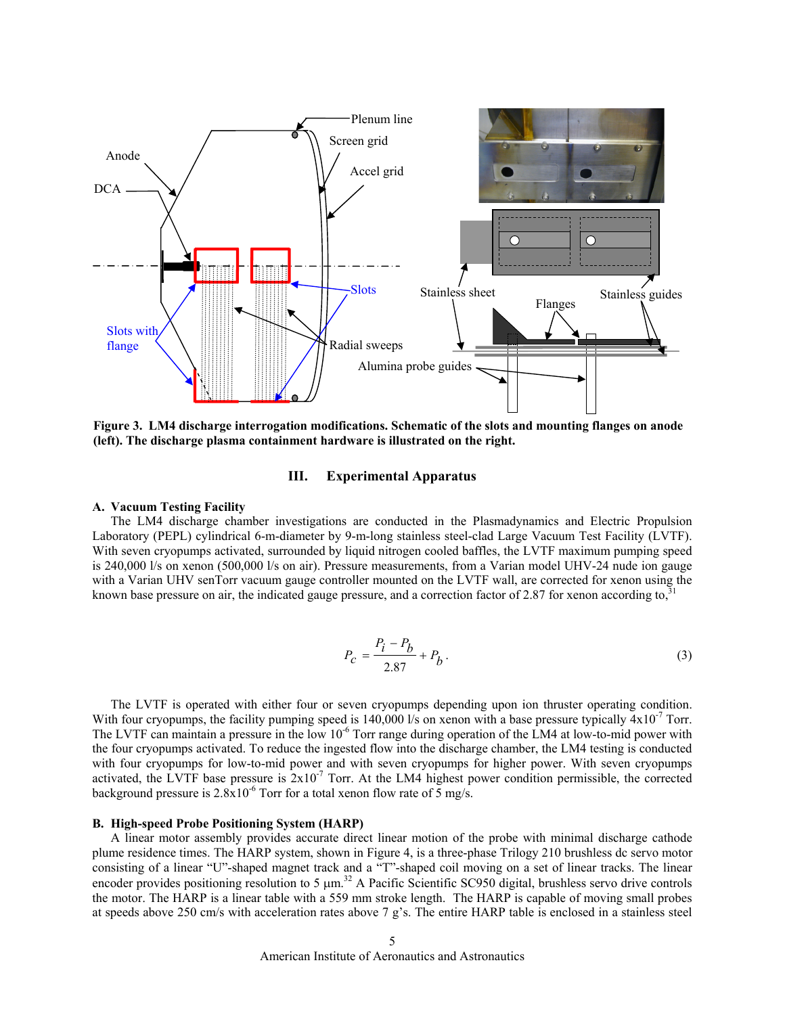

**Figure 3. LM4 discharge interrogation modifications. Schematic of the slots and mounting flanges on anode (left). The discharge plasma containment hardware is illustrated on the right.** 

# **III. Experimental Apparatus**

#### **A. Vacuum Testing Facility**

The LM4 discharge chamber investigations are conducted in the Plasmadynamics and Electric Propulsion Laboratory (PEPL) cylindrical 6-m-diameter by 9-m-long stainless steel-clad Large Vacuum Test Facility (LVTF). With seven cryopumps activated, surrounded by liquid nitrogen cooled baffles, the LVTF maximum pumping speed is 240,000 l/s on xenon (500,000 l/s on air). Pressure measurements, from a Varian model UHV-24 nude ion gauge with a Varian UHV senTorr vacuum gauge controller mounted on the LVTF wall, are corrected for xenon using the known base pressure on air, the indicated gauge pressure, and a correction factor of 2.87 for xenon according to, $31$ 

$$
P_c = \frac{P_i - P_b}{2.87} + P_b.
$$
 (3)

The LVTF is operated with either four or seven cryopumps depending upon ion thruster operating condition. With four cryopumps, the facility pumping speed is 140,000 l/s on xenon with a base pressure typically  $4x10^{-7}$  Torr. The LVTF can maintain a pressure in the low  $10^{-6}$  Torr range during operation of the LM4 at low-to-mid power with the four cryopumps activated. To reduce the ingested flow into the discharge chamber, the LM4 testing is conducted with four cryopumps for low-to-mid power and with seven cryopumps for higher power. With seven cryopumps activated, the LVTF base pressure is  $2x10^{-7}$  Torr. At the LM4 highest power condition permissible, the corrected background pressure is  $2.8x10^{-6}$  Torr for a total xenon flow rate of 5 mg/s.

# **B. High-speed Probe Positioning System (HARP)**

A linear motor assembly provides accurate direct linear motion of the probe with minimal discharge cathode plume residence times. The HARP system, shown in Figure 4, is a three-phase Trilogy 210 brushless dc servo motor consisting of a linear "U"-shaped magnet track and a "T"-shaped coil moving on a set of linear tracks. The linear encoder provides positioning resolution to 5  $\mu$ m.<sup>32</sup> A Pacific Scientific SC950 digital, brushless servo drive controls the motor. The HARP is a linear table with a 559 mm stroke length. The HARP is capable of moving small probes at speeds above 250 cm/s with acceleration rates above 7 g's. The entire HARP table is enclosed in a stainless steel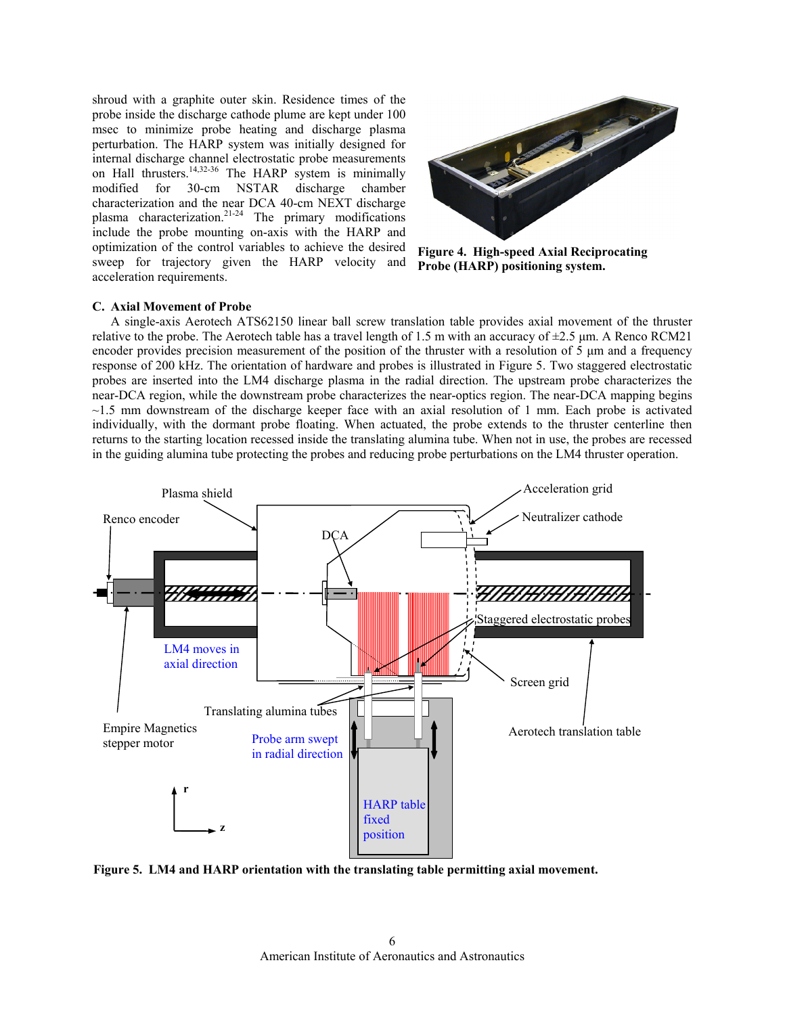shroud with a graphite outer skin. Residence times of the probe inside the discharge cathode plume are kept under 100 msec to minimize probe heating and discharge plasma perturbation. The HARP system was initially designed for internal discharge channel electrostatic probe measurements on Hall thrusters.<sup>14,32-36</sup> The HARP system is minimally modified for 30-cm NSTAR discharge chamber characterization and the near DCA 40-cm NEXT discharge plasma characterization.<sup>21-24</sup> The primary modifications include the probe mounting on-axis with the HARP and optimization of the control variables to achieve the desired sweep for trajectory given the HARP velocity and acceleration requirements.



**Figure 4. High-speed Axial Reciprocating Probe (HARP) positioning system.** 

# **C. Axial Movement of Probe**

A single-axis Aerotech ATS62150 linear ball screw translation table provides axial movement of the thruster relative to the probe. The Aerotech table has a travel length of 1.5 m with an accuracy of  $\pm$ 2.5 µm. A Renco RCM21 encoder provides precision measurement of the position of the thruster with a resolution of  $5 \mu m$  and a frequency response of 200 kHz. The orientation of hardware and probes is illustrated in Figure 5. Two staggered electrostatic probes are inserted into the LM4 discharge plasma in the radial direction. The upstream probe characterizes the near-DCA region, while the downstream probe characterizes the near-optics region. The near-DCA mapping begins  $\sim$ 1.5 mm downstream of the discharge keeper face with an axial resolution of 1 mm. Each probe is activated individually, with the dormant probe floating. When actuated, the probe extends to the thruster centerline then returns to the starting location recessed inside the translating alumina tube. When not in use, the probes are recessed in the guiding alumina tube protecting the probes and reducing probe perturbations on the LM4 thruster operation.



**Figure 5. LM4 and HARP orientation with the translating table permitting axial movement.**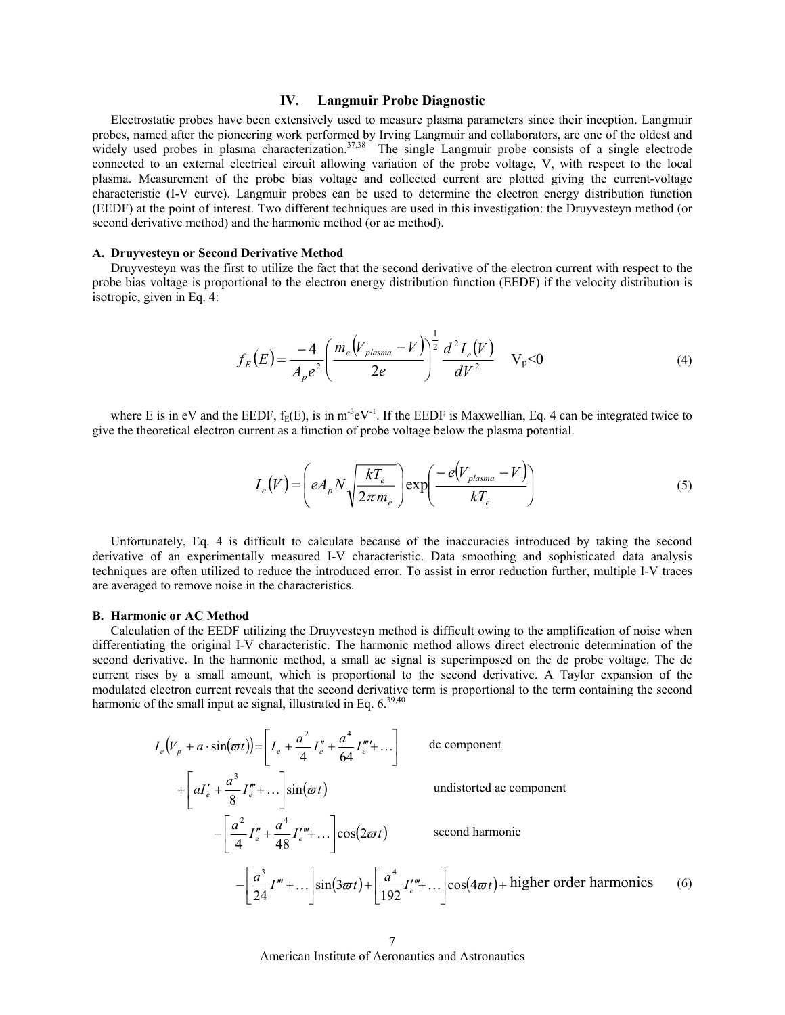#### **IV. Langmuir Probe Diagnostic**

Electrostatic probes have been extensively used to measure plasma parameters since their inception. Langmuir probes, named after the pioneering work performed by Irving Langmuir and collaborators, are one of the oldest and widely used probes in plasma characterization.<sup>37,38</sup> The single Langmuir probe consists of a single electrode connected to an external electrical circuit allowing variation of the probe voltage, V, with respect to the local plasma. Measurement of the probe bias voltage and collected current are plotted giving the current-voltage characteristic (I-V curve). Langmuir probes can be used to determine the electron energy distribution function (EEDF) at the point of interest. Two different techniques are used in this investigation: the Druyvesteyn method (or second derivative method) and the harmonic method (or ac method).

## **A. Druyvesteyn or Second Derivative Method**

Druyvesteyn was the first to utilize the fact that the second derivative of the electron current with respect to the probe bias voltage is proportional to the electron energy distribution function (EEDF) if the velocity distribution is isotropic, given in Eq. 4:

$$
f_E(E) = \frac{-4}{A_p e^2} \left( \frac{m_e (V_{plasma} - V)}{2e} \right)^{\frac{1}{2}} \frac{d^2 I_e(V)}{dV^2} \quad V_p < 0 \tag{4}
$$

where E is in eV and the EEDF,  $f_E(E)$ , is in m<sup>-3</sup>eV<sup>-1</sup>. If the EEDF is Maxwellian, Eq. 4 can be integrated twice to give the theoretical electron current as a function of probe voltage below the plasma potential.

$$
I_e(V) = \left(eA_p N \sqrt{\frac{kT_e}{2\pi m_e}}\right) \exp\left(\frac{-e(V_{plasma} - V)}{kT_e}\right) \tag{5}
$$

Unfortunately, Eq. 4 is difficult to calculate because of the inaccuracies introduced by taking the second derivative of an experimentally measured I-V characteristic. Data smoothing and sophisticated data analysis techniques are often utilized to reduce the introduced error. To assist in error reduction further, multiple I-V traces are averaged to remove noise in the characteristics.

#### **B. Harmonic or AC Method**

Calculation of the EEDF utilizing the Druyvesteyn method is difficult owing to the amplification of noise when differentiating the original I-V characteristic. The harmonic method allows direct electronic determination of the second derivative. In the harmonic method, a small ac signal is superimposed on the dc probe voltage. The dc current rises by a small amount, which is proportional to the second derivative. A Taylor expansion of the modulated electron current reveals that the second derivative term is proportional to the term containing the second harmonic of the small input ac signal, illustrated in Eq.  $6.39,40$ 

$$
I_e(V_p + a \cdot \sin(\varpi t)) = \left[ I_e + \frac{a^2}{4} I_e'' + \frac{a^4}{64} I_e''' + \dots \right] \text{ dc component}
$$
  
+ 
$$
\left[ aI_e' + \frac{a^3}{8} I_e''' + \dots \right] \sin(\varpi t) \text{ undistorted ac component}
$$
  
- 
$$
\left[ \frac{a^2}{4} I_e'' + \frac{a^4}{48} I_e'''' + \dots \right] \cos(2\varpi t) \text{ second harmonic}
$$
  
- 
$$
\left[ \frac{a^3}{24} I''' + \dots \right] \sin(3\varpi t) + \left[ \frac{a^4}{192} I_e'''' + \dots \right] \cos(4\varpi t) + \text{higher order harmonics}
$$
 (6)

American Institute of Aeronautics and Astronautics 7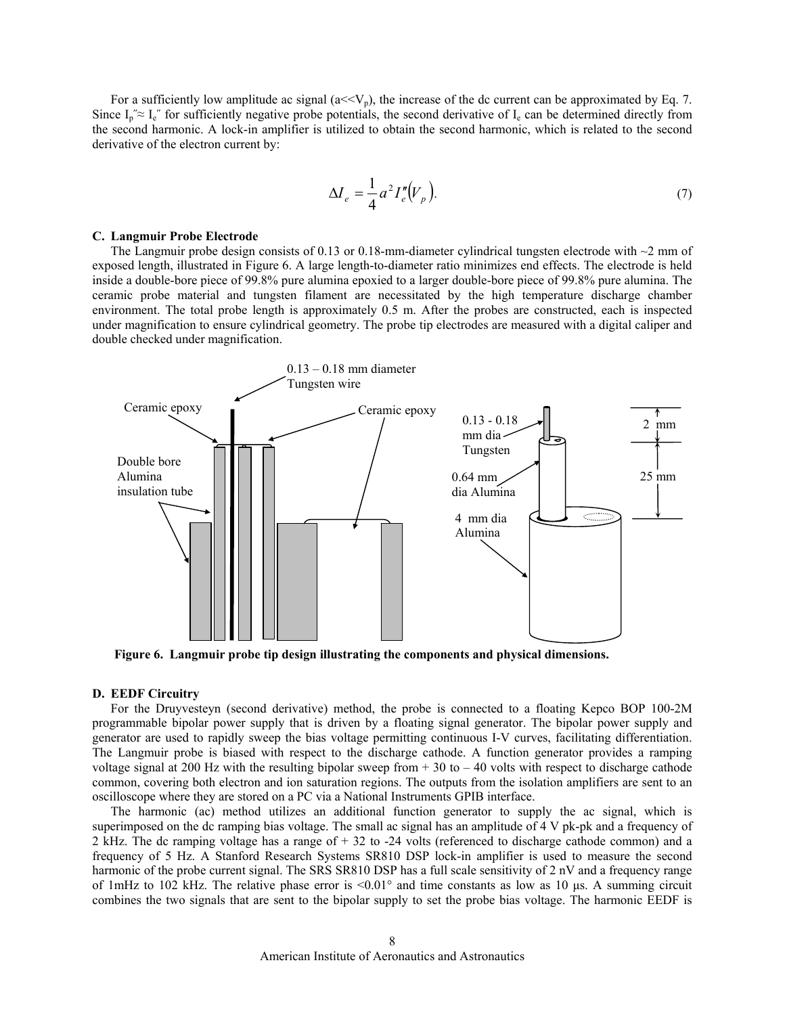For a sufficiently low amplitude ac signal  $(a<, the increase of the dc current can be approximated by Eq. 7.$ Since  $I_p \tilde{\sim} I_e$ " for sufficiently negative probe potentials, the second derivative of  $I_e$  can be determined directly from the second harmonic. A lock-in amplifier is utilized to obtain the second harmonic, which is related to the second derivative of the electron current by:

$$
\Delta I_e = \frac{1}{4} a^2 I_e''(V_p). \tag{7}
$$

#### **C. Langmuir Probe Electrode**

The Langmuir probe design consists of 0.13 or 0.18-mm-diameter cylindrical tungsten electrode with  $\sim$ 2 mm of exposed length, illustrated in Figure 6. A large length-to-diameter ratio minimizes end effects. The electrode is held inside a double-bore piece of 99.8% pure alumina epoxied to a larger double-bore piece of 99.8% pure alumina. The ceramic probe material and tungsten filament are necessitated by the high temperature discharge chamber environment. The total probe length is approximately 0.5 m. After the probes are constructed, each is inspected under magnification to ensure cylindrical geometry. The probe tip electrodes are measured with a digital caliper and double checked under magnification.



**Figure 6. Langmuir probe tip design illustrating the components and physical dimensions.** 

## **D. EEDF Circuitry**

For the Druyvesteyn (second derivative) method, the probe is connected to a floating Kepco BOP 100-2M programmable bipolar power supply that is driven by a floating signal generator. The bipolar power supply and generator are used to rapidly sweep the bias voltage permitting continuous I-V curves, facilitating differentiation. The Langmuir probe is biased with respect to the discharge cathode. A function generator provides a ramping voltage signal at 200 Hz with the resulting bipolar sweep from  $+ 30$  to  $- 40$  volts with respect to discharge cathode common, covering both electron and ion saturation regions. The outputs from the isolation amplifiers are sent to an oscilloscope where they are stored on a PC via a National Instruments GPIB interface.

The harmonic (ac) method utilizes an additional function generator to supply the ac signal, which is superimposed on the dc ramping bias voltage. The small ac signal has an amplitude of 4 V pk-pk and a frequency of 2 kHz. The dc ramping voltage has a range of + 32 to -24 volts (referenced to discharge cathode common) and a frequency of 5 Hz. A Stanford Research Systems SR810 DSP lock-in amplifier is used to measure the second harmonic of the probe current signal. The SRS SR810 DSP has a full scale sensitivity of 2 nV and a frequency range of 1mHz to 102 kHz. The relative phase error is <0.01° and time constants as low as 10 µs. A summing circuit combines the two signals that are sent to the bipolar supply to set the probe bias voltage. The harmonic EEDF is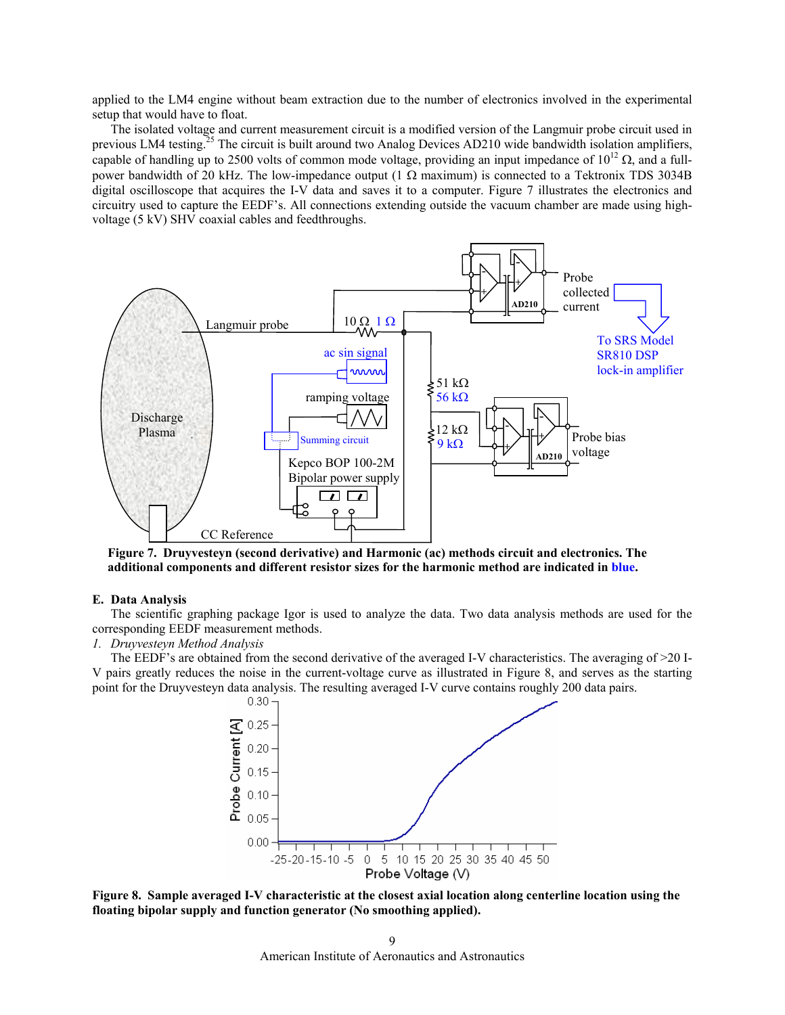applied to the LM4 engine without beam extraction due to the number of electronics involved in the experimental setup that would have to float.

The isolated voltage and current measurement circuit is a modified version of the Langmuir probe circuit used in previous LM4 testing.<sup>25</sup> The circuit is built around two Analog Devices AD210 wide bandwidth isolation amplifiers, capable of handling up to 2500 volts of common mode voltage, providing an input impedance of  $10^{12} \Omega$ , and a fullpower bandwidth of 20 kHz. The low-impedance output (1  $\Omega$  maximum) is connected to a Tektronix TDS 3034B digital oscilloscope that acquires the I-V data and saves it to a computer. Figure 7 illustrates the electronics and circuitry used to capture the EEDF's. All connections extending outside the vacuum chamber are made using highvoltage (5 kV) SHV coaxial cables and feedthroughs.



**Figure 7. Druyvesteyn (second derivative) and Harmonic (ac) methods circuit and electronics. The additional components and different resistor sizes for the harmonic method are indicated in blue.** 

## **E. Data Analysis**

The scientific graphing package Igor is used to analyze the data. Two data analysis methods are used for the corresponding EEDF measurement methods.

# *1. Druyvesteyn Method Analysis*

The EEDF's are obtained from the second derivative of the averaged I-V characteristics. The averaging of  $>20$  I-V pairs greatly reduces the noise in the current-voltage curve as illustrated in Figure 8, and serves as the starting point for the Druyvesteyn data analysis. The resulting averaged I-V curve contains roughly 200 data pairs.



**Figure 8. Sample averaged I-V characteristic at the closest axial location along centerline location using the floating bipolar supply and function generator (No smoothing applied).**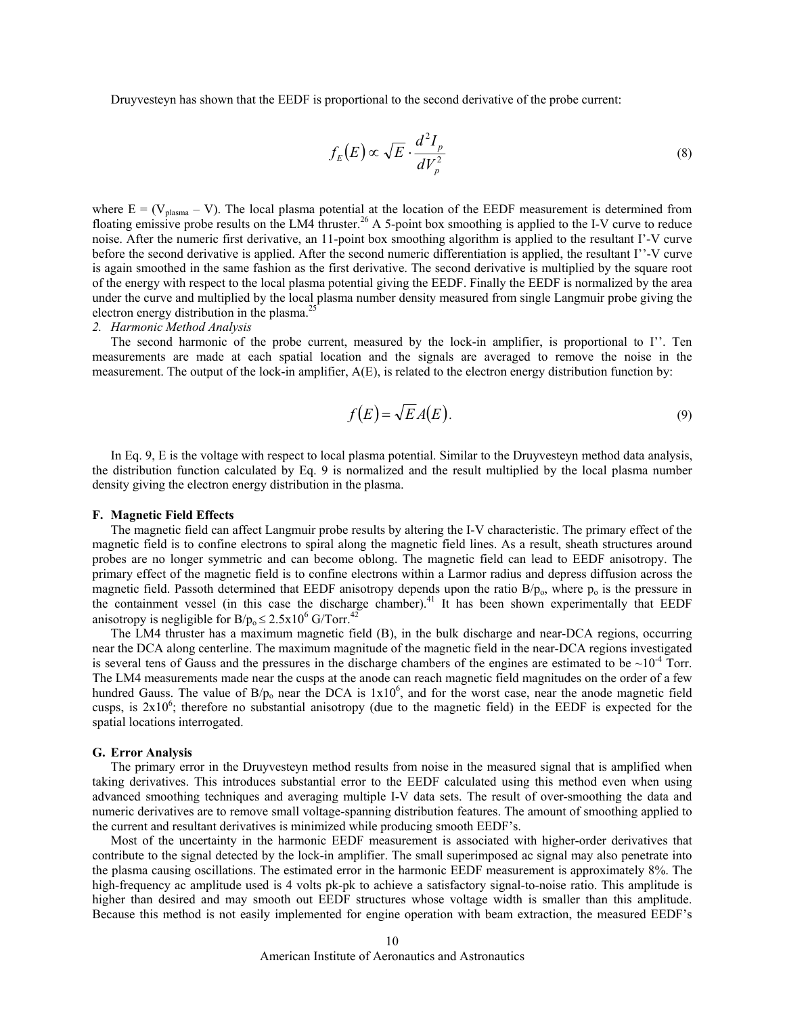Druyvesteyn has shown that the EEDF is proportional to the second derivative of the probe current:

$$
f_E(E) \propto \sqrt{E} \cdot \frac{d^2 I_p}{dV_p^2}
$$
 (8)

where  $E = (V_{plasma} - V)$ . The local plasma potential at the location of the EEDF measurement is determined from floating emissive probe results on the LM4 thruster.<sup>26</sup> A 5-point box smoothing is applied to the I-V curve to reduce noise. After the numeric first derivative, an 11-point box smoothing algorithm is applied to the resultant I'-V curve before the second derivative is applied. After the second numeric differentiation is applied, the resultant I''-V curve is again smoothed in the same fashion as the first derivative. The second derivative is multiplied by the square root of the energy with respect to the local plasma potential giving the EEDF. Finally the EEDF is normalized by the area under the curve and multiplied by the local plasma number density measured from single Langmuir probe giving the electron energy distribution in the plasma.<sup>25</sup>

#### *2. Harmonic Method Analysis*

The second harmonic of the probe current, measured by the lock-in amplifier, is proportional to I''. Ten measurements are made at each spatial location and the signals are averaged to remove the noise in the measurement. The output of the lock-in amplifier,  $A(E)$ , is related to the electron energy distribution function by:

$$
f(E) = \sqrt{E}A(E). \tag{9}
$$

In Eq. 9, E is the voltage with respect to local plasma potential. Similar to the Druyvesteyn method data analysis, the distribution function calculated by Eq. 9 is normalized and the result multiplied by the local plasma number density giving the electron energy distribution in the plasma.

# **F. Magnetic Field Effects**

The magnetic field can affect Langmuir probe results by altering the I-V characteristic. The primary effect of the magnetic field is to confine electrons to spiral along the magnetic field lines. As a result, sheath structures around probes are no longer symmetric and can become oblong. The magnetic field can lead to EEDF anisotropy. The primary effect of the magnetic field is to confine electrons within a Larmor radius and depress diffusion across the magnetic field. Passoth determined that EEDF anisotropy depends upon the ratio  $B/p_0$ , where  $p_0$  is the pressure in the containment vessel (in this case the discharge chamber).<sup>41</sup> It has been shown experimentally that EEDF anisotropy is negligible for  $B/p_0 \le 2.5x10^6$  G/Torr.<sup>42</sup>

The LM4 thruster has a maximum magnetic field (B), in the bulk discharge and near-DCA regions, occurring near the DCA along centerline. The maximum magnitude of the magnetic field in the near-DCA regions investigated is several tens of Gauss and the pressures in the discharge chambers of the engines are estimated to be  $\sim 10^{-4}$  Torr. The LM4 measurements made near the cusps at the anode can reach magnetic field magnitudes on the order of a few hundred Gauss. The value of  $B/p_0$  near the DCA is  $1x10^6$ , and for the worst case, near the anode magnetic field cusps, is  $2x10^6$ ; therefore no substantial anisotropy (due to the magnetic field) in the EEDF is expected for the spatial locations interrogated.

# **G. Error Analysis**

The primary error in the Druyvesteyn method results from noise in the measured signal that is amplified when taking derivatives. This introduces substantial error to the EEDF calculated using this method even when using advanced smoothing techniques and averaging multiple I-V data sets. The result of over-smoothing the data and numeric derivatives are to remove small voltage-spanning distribution features. The amount of smoothing applied to the current and resultant derivatives is minimized while producing smooth EEDF's.

Most of the uncertainty in the harmonic EEDF measurement is associated with higher-order derivatives that contribute to the signal detected by the lock-in amplifier. The small superimposed ac signal may also penetrate into the plasma causing oscillations. The estimated error in the harmonic EEDF measurement is approximately 8%. The high-frequency ac amplitude used is 4 volts pk-pk to achieve a satisfactory signal-to-noise ratio. This amplitude is higher than desired and may smooth out EEDF structures whose voltage width is smaller than this amplitude. Because this method is not easily implemented for engine operation with beam extraction, the measured EEDF's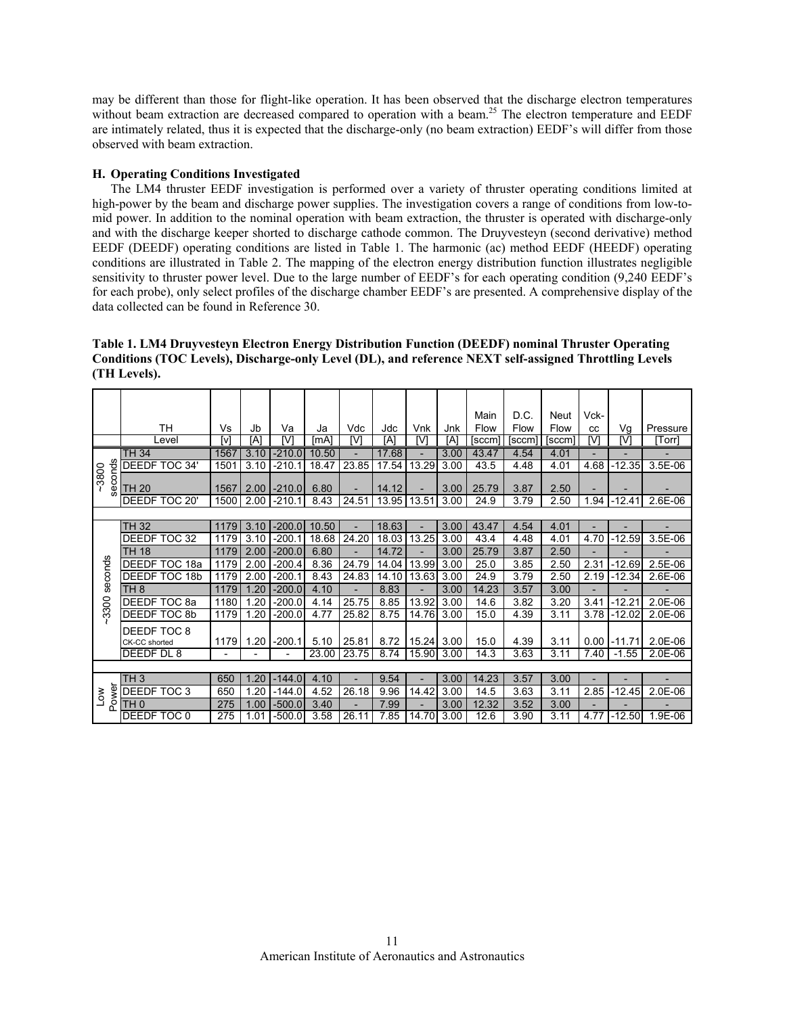may be different than those for flight-like operation. It has been observed that the discharge electron temperatures without beam extraction are decreased compared to operation with a beam.<sup>25</sup> The electron temperature and EEDF are intimately related, thus it is expected that the discharge-only (no beam extraction) EEDF's will differ from those observed with beam extraction.

# **H. Operating Conditions Investigated**

The LM4 thruster EEDF investigation is performed over a variety of thruster operating conditions limited at high-power by the beam and discharge power supplies. The investigation covers a range of conditions from low-tomid power. In addition to the nominal operation with beam extraction, the thruster is operated with discharge-only and with the discharge keeper shorted to discharge cathode common. The Druyvesteyn (second derivative) method EEDF (DEEDF) operating conditions are listed in Table 1. The harmonic (ac) method EEDF (HEEDF) operating conditions are illustrated in Table 2. The mapping of the electron energy distribution function illustrates negligible sensitivity to thruster power level. Due to the large number of EEDF's for each operating condition (9,240 EEDF's for each probe), only select profiles of the discharge chamber EEDF's are presented. A comprehensive display of the data collected can be found in Reference 30.

# **Table 1. LM4 Druyvesteyn Electron Energy Distribution Function (DEEDF) nominal Thruster Operating Conditions (TOC Levels), Discharge-only Level (DL), and reference NEXT self-assigned Throttling Levels (TH Levels).**

|                    |                              |                          |                |                          |       |       |       |       |      | Main   | D.C.  | Neut | Vck-           |          |                          |
|--------------------|------------------------------|--------------------------|----------------|--------------------------|-------|-------|-------|-------|------|--------|-------|------|----------------|----------|--------------------------|
|                    | <b>TH</b>                    | Vs                       | Jb             | Va                       | Ja    | Vdc   | Jdc   | Vnk   | Jnk  | Flow   | Flow  | Flow | <b>CC</b>      | Vg       | Pressure                 |
|                    | Level                        | [v]                      | [A]            | ſV                       | [mA   | ſ۷1   | [A]   | ГVІ   | [A]  | [sccm] | [sccm | sccm | ГVІ            | ſV       | [Torr                    |
|                    | <b>TH 34</b>                 | 1567                     | 3.10           | $-210.0$                 | 10.50 |       | 17.68 |       | 3.00 | 43.47  | 4.54  | 4.01 |                |          |                          |
|                    | DEEDF TOC 34'                | 1501                     | 3.10           | $-210.$                  | 18.47 | 23.85 | 17.54 | 13.29 | 3.00 | 43.5   | 4.48  | 4.01 | 4.68           | $-12.35$ | 3.5E-06                  |
| seconds<br>$-3800$ | <b>TH 20</b>                 | 1567                     | 2.00           | $-210.0$                 | 6.80  |       | 14.12 |       | 3.00 | 25.79  | 3.87  | 2.50 |                |          |                          |
|                    | DEEDF TOC 20'                | 1500                     | 2.00           | $-210.$                  | 8.43  | 24.51 | 13.95 | 13.51 | 3.00 | 24.9   | 3.79  | 2.50 | .94            | $-12.41$ | 2.6E-06                  |
|                    |                              |                          |                |                          |       |       |       |       |      |        |       |      |                |          |                          |
|                    | <b>TH32</b>                  | 1179                     | 3.10           | $-200.0$                 | 10.50 |       | 18.63 |       | 3.00 | 43.47  | 4.54  | 4.01 | $\overline{a}$ |          | $\overline{\phantom{0}}$ |
|                    | DEEDF TOC 32                 | 1179                     | 3.10           | -200.1                   | 18.68 | 24.20 | 18.03 | 13.25 | 3.00 | 43.4   | 4.48  | 4.01 | 4.70           | $-12.59$ | 3.5E-06                  |
| seconds<br>3300    | TH 18                        | 1179                     | 2.00           | $-200.0$                 | 6.80  |       | 14.72 |       | 3.00 | 25.79  | 3.87  | 2.50 |                |          |                          |
|                    | DEEDF TOC 18a                | 1179                     | 2.00           | $-200.4$                 | 8.36  | 24.79 | 14.04 | 13.99 | 3.00 | 25.0   | 3.85  | 2.50 | 2.31           | $-12.69$ | 2.5E-06                  |
|                    | DEEDF TOC 18b                | 1179                     | 2.00           | $-200.$                  | 8.43  | 24.83 | 14.10 | 13.63 | 3.00 | 24.9   | 3.79  | 2.50 | 2.19           | $-12.34$ | 2.6E-06                  |
|                    | TH <sub>8</sub>              | 1179                     | 1.20           | -200.0                   | 4.10  |       | 8.83  |       | 3.00 | 14.23  | 3.57  | 3.00 |                |          |                          |
|                    | DEEDF TOC 8a                 | 1180                     | 1.20           | $-200.0$                 | 4.14  | 25.75 | 8.85  | 13.92 | 3.00 | 14.6   | 3.82  | 3.20 | 3.41           | $-12.21$ | 2.0E-06                  |
|                    | DEEDF TOC 8b                 | 1179                     | 1.20           | -200.0                   | 4.77  | 25.82 | 8.75  | 14.76 | 3.00 | 15.0   | 4.39  | 3.11 | 3.78           | $-12.02$ | 2.0E-06                  |
|                    | DEEDF TOC 8<br>CK-CC shorted | 1179                     | 1.20           | $-200.1$                 | 5.10  | 25.81 | 8.72  | 15.24 | 3.00 | 15.0   | 4.39  | 3.11 | 0.00           | $-11.71$ | 2.0E-06                  |
|                    | DEEDF DL 8                   | $\overline{\phantom{a}}$ | $\overline{a}$ | $\overline{\phantom{a}}$ | 23.00 | 23.75 | 8.74  | 15.90 | 3.00 | 14.3   | 3.63  | 3.11 | 7.40           | $-1.55$  | $2.0E-06$                |
|                    |                              |                          |                |                          |       |       |       |       |      |        |       |      |                |          |                          |
| Power<br>No∫       | TH <sub>3</sub>              | 650                      | 1.20           | $-144.0$                 | 4.10  |       | 9.54  |       | 3.00 | 14.23  | 3.57  | 3.00 |                |          |                          |
|                    | DEEDF TOC 3                  | 650                      | 1.20           | $-144.0$                 | 4.52  | 26.18 | 9.96  | 14.42 | 3.00 | 14.5   | 3.63  | 3.11 | 2.85           | $-12.45$ | 2.0E-06                  |
|                    | TH <sub>0</sub>              | 275                      | 1.00           | $-500.0$                 | 3.40  |       | 7.99  |       | 3.00 | 12.32  | 3.52  | 3.00 |                |          |                          |
|                    | DEEDF TOC 0                  | 275                      | 1.01           | $-500.0$                 | 3.58  | 26.11 | 7.85  | 14.70 | 3.00 | 12.6   | 3.90  | 3.11 | 4.7            | $-12.50$ | 1.9E-06                  |
|                    |                              |                          |                |                          |       |       |       |       |      |        |       |      |                |          |                          |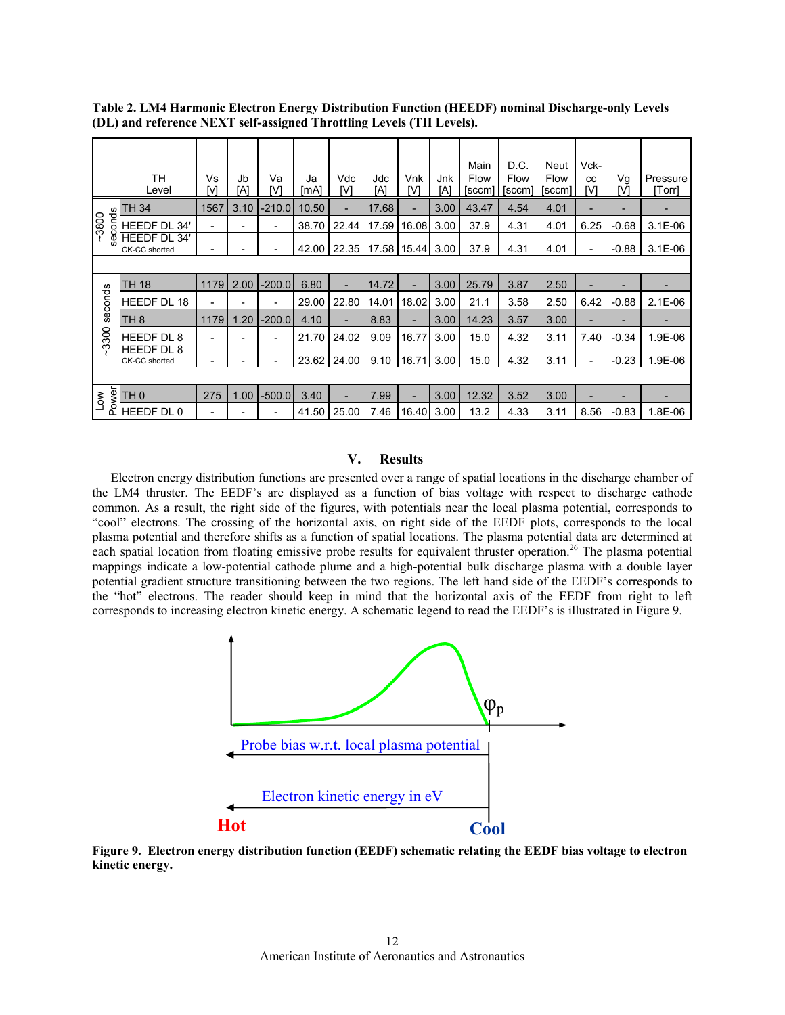|                    |                                    |                          |                          |                          |       |                          |       |       |      | Main   | D.C.   | Neut   | Vck-                     |         |           |
|--------------------|------------------------------------|--------------------------|--------------------------|--------------------------|-------|--------------------------|-------|-------|------|--------|--------|--------|--------------------------|---------|-----------|
|                    | TН                                 | Vs                       | Jb                       | Va                       | Ja    | Vdc                      | Jdc   | Vnk   | Jnk  | Flow   | Flow   | Flow   | CC                       | Vg      | Pressure  |
|                    | Level                              | [v]                      | [A]                      | IV1                      | [mA]  | ΓV1                      | [A]   | ſ۷1   | [A]  | [sccm] | [sccm] | [sccm] | M                        | M       | ˈTorr]    |
| seconds<br>$-3800$ | <b>ITH 34</b>                      | 1567                     | 3.10                     | $-210.0$                 | 10.50 | ۰                        | 17.68 | ٠     | 3.00 | 43.47  | 4.54   | 4.01   | $\overline{\phantom{0}}$ |         |           |
|                    | HEEDF DL 34'                       | $\overline{\phantom{0}}$ | $\overline{\phantom{0}}$ | $\overline{\phantom{0}}$ | 38.70 | 22.44                    | 17.59 | 16.08 | 3.00 | 37.9   | 4.31   | 4.01   | 6.25                     | $-0.68$ | 3.1E-06   |
|                    | HEEDF DL 34'<br>CK-CC shorted      | $\overline{\phantom{a}}$ | ۰                        |                          | 42.00 | 22.35                    | 17.58 | 15.44 | 3.00 | 37.9   | 4.31   | 4.01   | $\overline{\phantom{a}}$ | $-0.88$ | 3.1E-06   |
|                    |                                    |                          |                          |                          |       |                          |       |       |      |        |        |        |                          |         |           |
| seconds<br>$-3300$ | <b>TH 18</b>                       | 1179                     | 2.00                     | $-200.0$                 | 6.80  |                          | 14.72 |       | 3.00 | 25.79  | 3.87   | 2.50   | ٠                        |         |           |
|                    | HEEDF DL 18                        | $\overline{\phantom{0}}$ | ۰                        | ٠                        | 29.00 | 22.80                    | 14.01 | 18.02 | 3.00 | 21.1   | 3.58   | 2.50   | 6.42                     | $-0.88$ | $2.1E-06$ |
|                    | TH <sub>8</sub>                    | 1179                     | 1.20                     | $-200.0$                 | 4.10  | $\overline{\phantom{0}}$ | 8.83  | ٠     | 3.00 | 14.23  | 3.57   | 3.00   | ٠                        |         |           |
|                    | HEEDF DL 8                         | $\overline{\phantom{0}}$ | -                        | ٠                        | 21.70 | 24.02                    | 9.09  | 16.77 | 3.00 | 15.0   | 4.32   | 3.11   | 7.40                     | $-0.34$ | 1.9E-06   |
|                    | <b>HEEDF DL 8</b><br>CK-CC shorted | $\overline{\phantom{0}}$ |                          |                          | 23.62 | 24.00                    | 9.10  | 16.71 | 3.00 | 15.0   | 4.32   | 3.11   | $\overline{\phantom{a}}$ | $-0.23$ | 1.9E-06   |
|                    |                                    |                          |                          |                          |       |                          |       |       |      |        |        |        |                          |         |           |
| γοη                | <b>PONEEI</b>                      | 275                      | 1.00                     | $-500.0$                 | 3.40  |                          | 7.99  | ٠     | 3.00 | 12.32  | 3.52   | 3.00   | ٠                        |         |           |
|                    | HEEDF DL 0                         |                          |                          |                          | 41.50 | 25.00                    | 7.46  | 16.40 | 3.00 | 13.2   | 4.33   | 3.11   | 8.56                     | $-0.83$ | 1.8E-06   |

**Table 2. LM4 Harmonic Electron Energy Distribution Function (HEEDF) nominal Discharge-only Levels (DL) and reference NEXT self-assigned Throttling Levels (TH Levels).** 

# **V. Results**

Electron energy distribution functions are presented over a range of spatial locations in the discharge chamber of the LM4 thruster. The EEDF's are displayed as a function of bias voltage with respect to discharge cathode common. As a result, the right side of the figures, with potentials near the local plasma potential, corresponds to "cool" electrons. The crossing of the horizontal axis, on right side of the EEDF plots, corresponds to the local plasma potential and therefore shifts as a function of spatial locations. The plasma potential data are determined at each spatial location from floating emissive probe results for equivalent thruster operation.<sup>26</sup> The plasma potential mappings indicate a low-potential cathode plume and a high-potential bulk discharge plasma with a double layer potential gradient structure transitioning between the two regions. The left hand side of the EEDF's corresponds to the "hot" electrons. The reader should keep in mind that the horizontal axis of the EEDF from right to left corresponds to increasing electron kinetic energy. A schematic legend to read the EEDF's is illustrated in Figure 9.



**Figure 9. Electron energy distribution function (EEDF) schematic relating the EEDF bias voltage to electron kinetic energy.**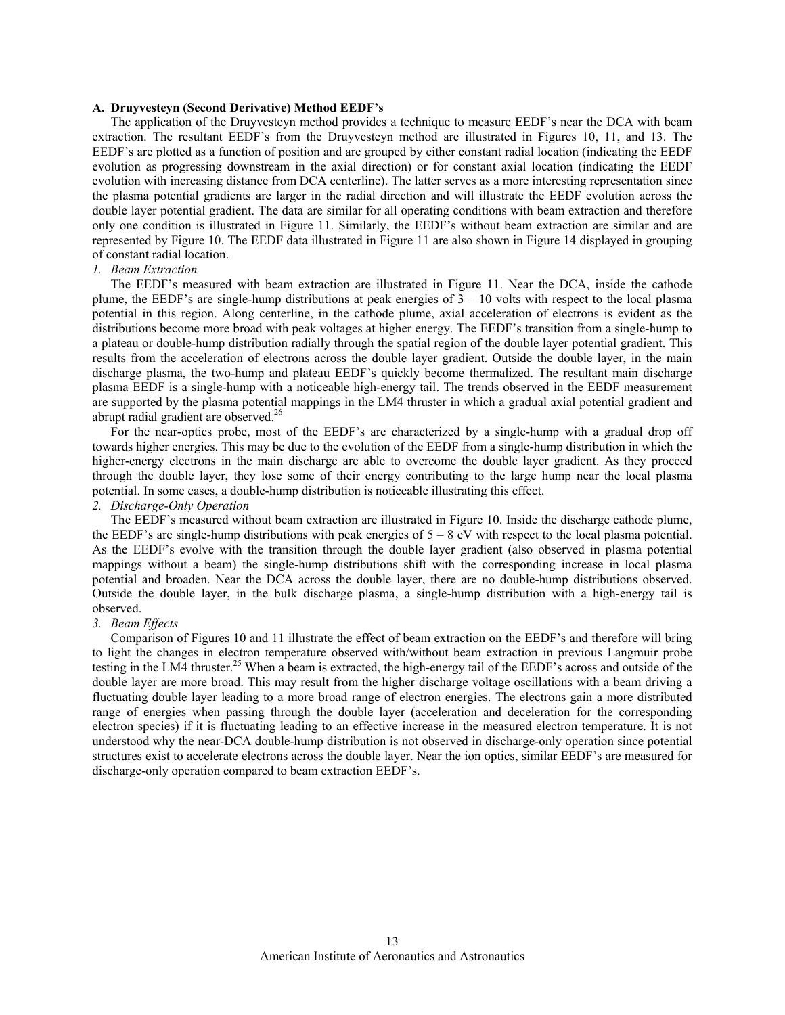## **A. Druyvesteyn (Second Derivative) Method EEDF's**

The application of the Druyvesteyn method provides a technique to measure EEDF's near the DCA with beam extraction. The resultant EEDF's from the Druyvesteyn method are illustrated in Figures 10, 11, and 13. The EEDF's are plotted as a function of position and are grouped by either constant radial location (indicating the EEDF evolution as progressing downstream in the axial direction) or for constant axial location (indicating the EEDF evolution with increasing distance from DCA centerline). The latter serves as a more interesting representation since the plasma potential gradients are larger in the radial direction and will illustrate the EEDF evolution across the double layer potential gradient. The data are similar for all operating conditions with beam extraction and therefore only one condition is illustrated in Figure 11. Similarly, the EEDF's without beam extraction are similar and are represented by Figure 10. The EEDF data illustrated in Figure 11 are also shown in Figure 14 displayed in grouping of constant radial location.

# *1. Beam Extraction*

The EEDF's measured with beam extraction are illustrated in Figure 11. Near the DCA, inside the cathode plume, the EEDF's are single-hump distributions at peak energies of  $3 - 10$  volts with respect to the local plasma potential in this region. Along centerline, in the cathode plume, axial acceleration of electrons is evident as the distributions become more broad with peak voltages at higher energy. The EEDF's transition from a single-hump to a plateau or double-hump distribution radially through the spatial region of the double layer potential gradient. This results from the acceleration of electrons across the double layer gradient. Outside the double layer, in the main discharge plasma, the two-hump and plateau EEDF's quickly become thermalized. The resultant main discharge plasma EEDF is a single-hump with a noticeable high-energy tail. The trends observed in the EEDF measurement are supported by the plasma potential mappings in the LM4 thruster in which a gradual axial potential gradient and abrupt radial gradient are observed.<sup>26</sup>

For the near-optics probe, most of the EEDF's are characterized by a single-hump with a gradual drop off towards higher energies. This may be due to the evolution of the EEDF from a single-hump distribution in which the higher-energy electrons in the main discharge are able to overcome the double layer gradient. As they proceed through the double layer, they lose some of their energy contributing to the large hump near the local plasma potential. In some cases, a double-hump distribution is noticeable illustrating this effect.

# *2. Discharge-Only Operation*

The EEDF's measured without beam extraction are illustrated in Figure 10. Inside the discharge cathode plume, the EEDF's are single-hump distributions with peak energies of  $5 - 8$  eV with respect to the local plasma potential. As the EEDF's evolve with the transition through the double layer gradient (also observed in plasma potential mappings without a beam) the single-hump distributions shift with the corresponding increase in local plasma potential and broaden. Near the DCA across the double layer, there are no double-hump distributions observed. Outside the double layer, in the bulk discharge plasma, a single-hump distribution with a high-energy tail is observed.

#### *3. Beam Effects*

Comparison of Figures 10 and 11 illustrate the effect of beam extraction on the EEDF's and therefore will bring to light the changes in electron temperature observed with/without beam extraction in previous Langmuir probe testing in the LM4 thruster.<sup>25</sup> When a beam is extracted, the high-energy tail of the EEDF's across and outside of the double layer are more broad. This may result from the higher discharge voltage oscillations with a beam driving a fluctuating double layer leading to a more broad range of electron energies. The electrons gain a more distributed range of energies when passing through the double layer (acceleration and deceleration for the corresponding electron species) if it is fluctuating leading to an effective increase in the measured electron temperature. It is not understood why the near-DCA double-hump distribution is not observed in discharge-only operation since potential structures exist to accelerate electrons across the double layer. Near the ion optics, similar EEDF's are measured for discharge-only operation compared to beam extraction EEDF's.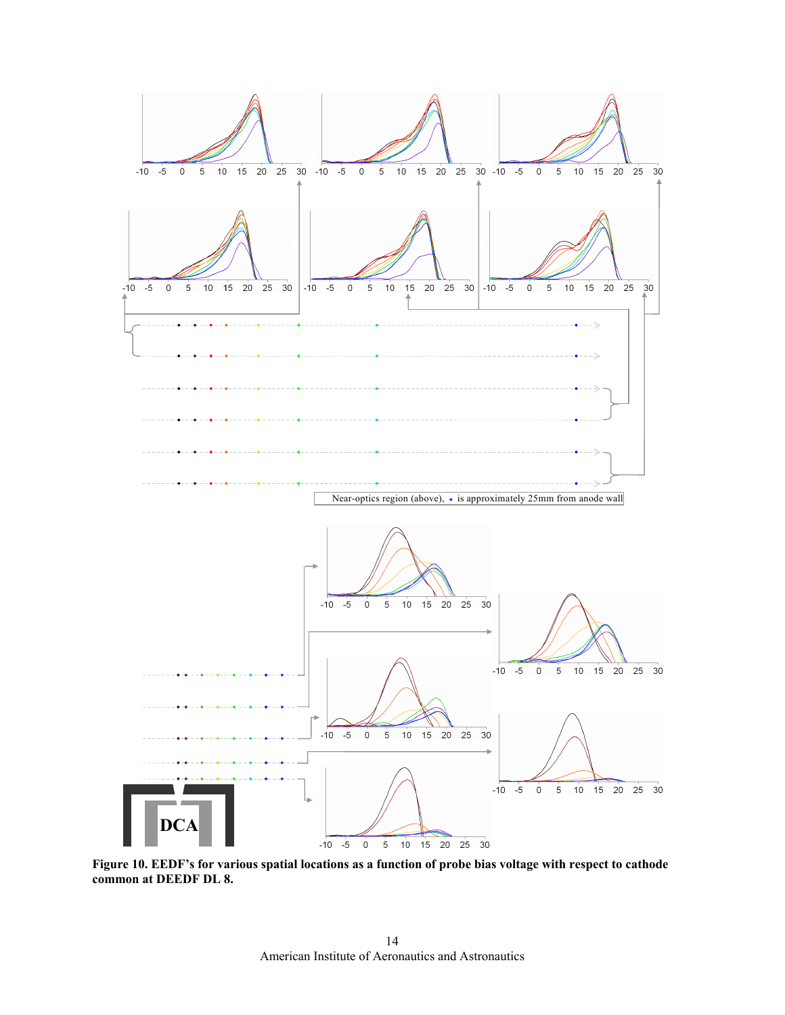

**Figure 10. EEDF's for various spatial locations as a function of probe bias voltage with respect to cathode common at DEEDF DL 8.**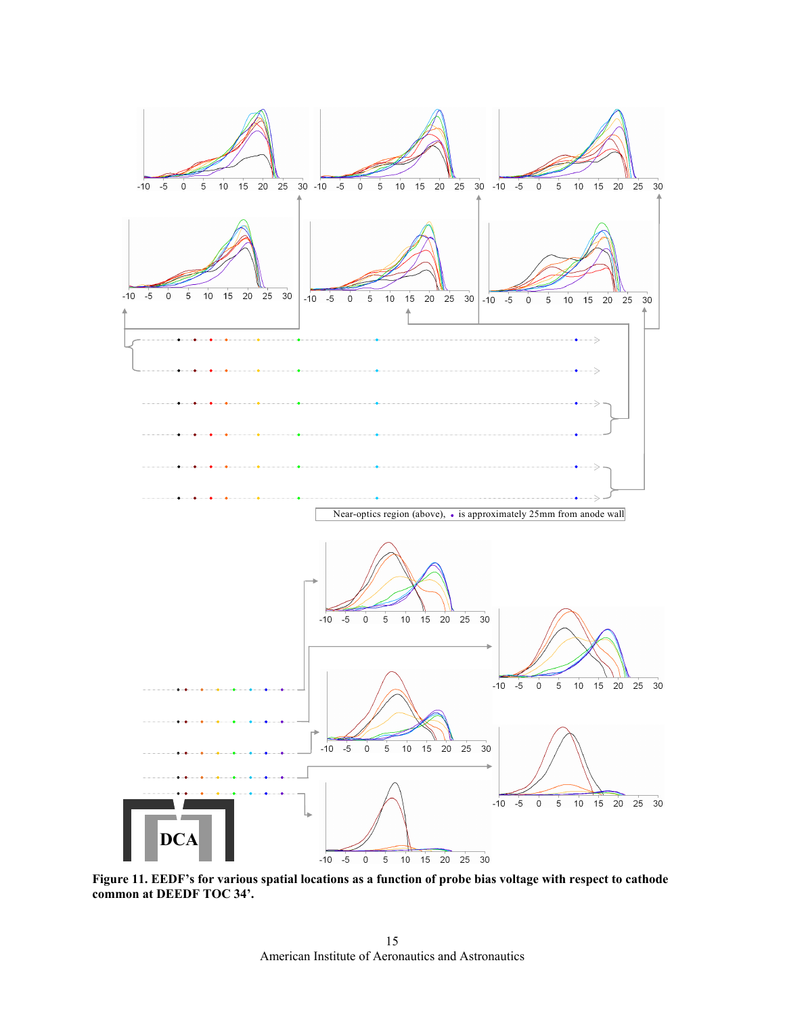

**Figure 11. EEDF's for various spatial locations as a function of probe bias voltage with respect to cathode common at DEEDF TOC 34'.**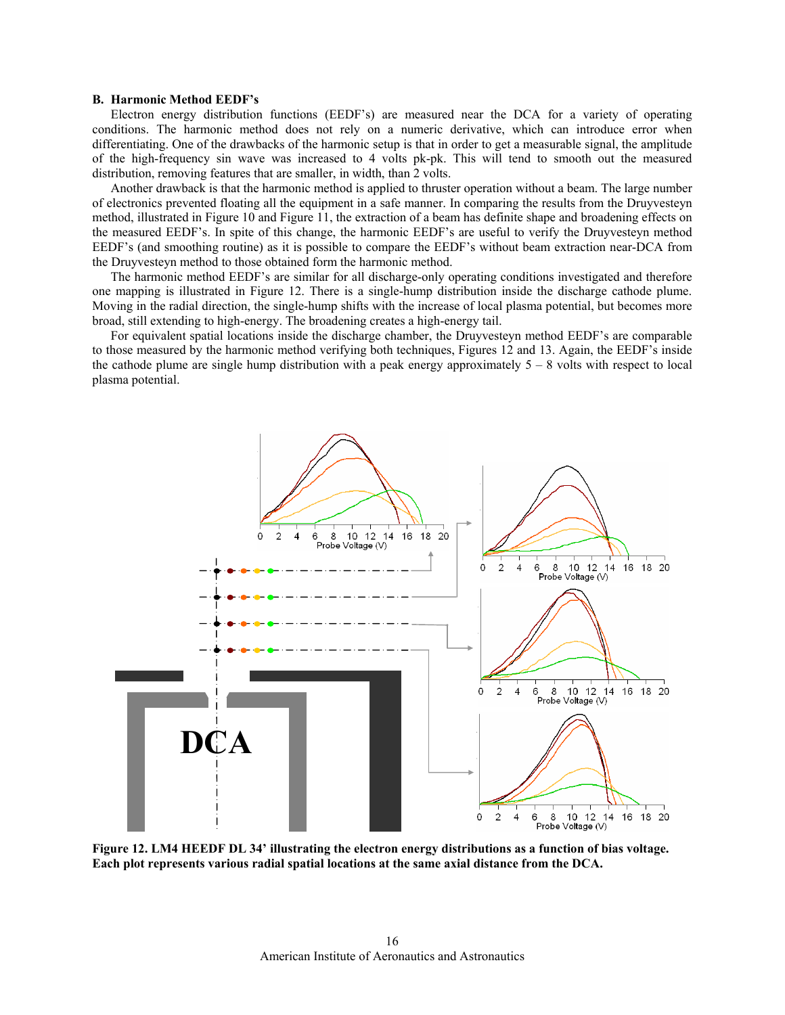### **B. Harmonic Method EEDF's**

Electron energy distribution functions (EEDF's) are measured near the DCA for a variety of operating conditions. The harmonic method does not rely on a numeric derivative, which can introduce error when differentiating. One of the drawbacks of the harmonic setup is that in order to get a measurable signal, the amplitude of the high-frequency sin wave was increased to 4 volts pk-pk. This will tend to smooth out the measured distribution, removing features that are smaller, in width, than 2 volts.

Another drawback is that the harmonic method is applied to thruster operation without a beam. The large number of electronics prevented floating all the equipment in a safe manner. In comparing the results from the Druyvesteyn method, illustrated in Figure 10 and Figure 11, the extraction of a beam has definite shape and broadening effects on the measured EEDF's. In spite of this change, the harmonic EEDF's are useful to verify the Druyvesteyn method EEDF's (and smoothing routine) as it is possible to compare the EEDF's without beam extraction near-DCA from the Druyvesteyn method to those obtained form the harmonic method.

The harmonic method EEDF's are similar for all discharge-only operating conditions investigated and therefore one mapping is illustrated in Figure 12. There is a single-hump distribution inside the discharge cathode plume. Moving in the radial direction, the single-hump shifts with the increase of local plasma potential, but becomes more broad, still extending to high-energy. The broadening creates a high-energy tail.

For equivalent spatial locations inside the discharge chamber, the Druyvesteyn method EEDF's are comparable to those measured by the harmonic method verifying both techniques, Figures 12 and 13. Again, the EEDF's inside the cathode plume are single hump distribution with a peak energy approximately  $5 - 8$  volts with respect to local plasma potential.



**Figure 12. LM4 HEEDF DL 34' illustrating the electron energy distributions as a function of bias voltage. Each plot represents various radial spatial locations at the same axial distance from the DCA.**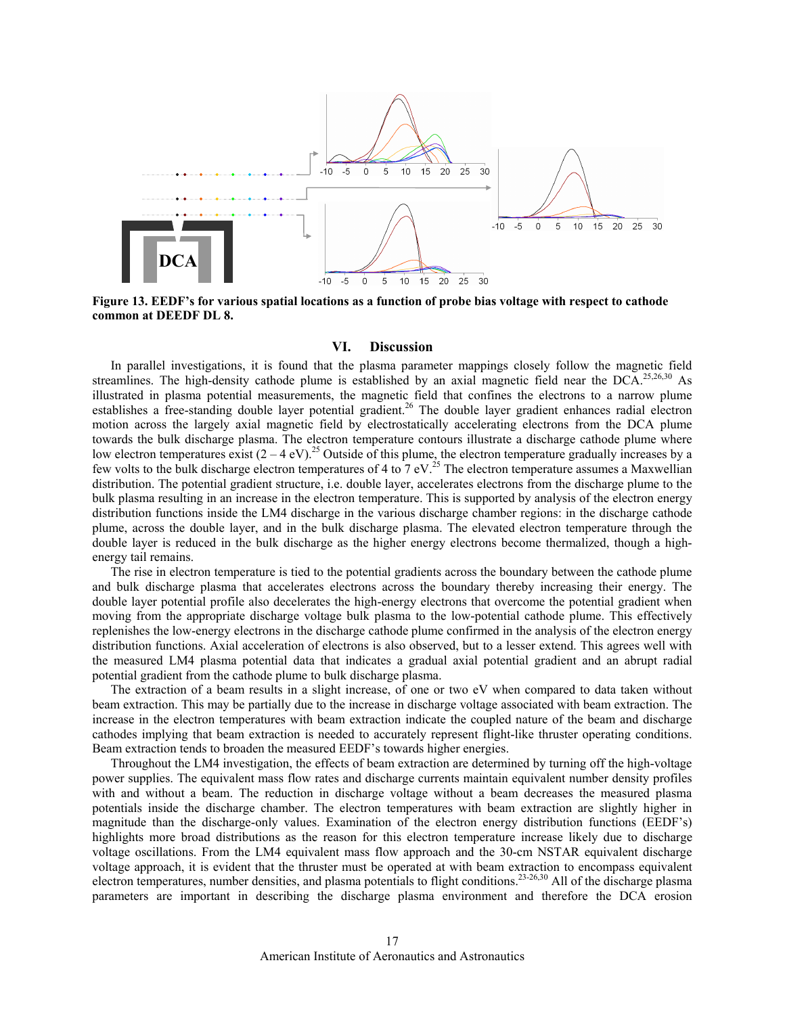

**Figure 13. EEDF's for various spatial locations as a function of probe bias voltage with respect to cathode common at DEEDF DL 8.** 

# **VI. Discussion**

In parallel investigations, it is found that the plasma parameter mappings closely follow the magnetic field streamlines. The high-density cathode plume is established by an axial magnetic field near the DCA.<sup>25,26,30</sup> As illustrated in plasma potential measurements, the magnetic field that confines the electrons to a narrow plume establishes a free-standing double layer potential gradient.<sup>26</sup> The double layer gradient enhances radial electron motion across the largely axial magnetic field by electrostatically accelerating electrons from the DCA plume towards the bulk discharge plasma. The electron temperature contours illustrate a discharge cathode plume where low electron temperatures exist  $(2 - 4 \text{ eV})^{25}$  Outside of this plume, the electron temperature gradually increases by a few volts to the bulk discharge electron temperatures of 4 to  $7$  eV.<sup>25</sup> The electron temperature assumes a Maxwellian distribution. The potential gradient structure, i.e. double layer, accelerates electrons from the discharge plume to the bulk plasma resulting in an increase in the electron temperature. This is supported by analysis of the electron energy distribution functions inside the LM4 discharge in the various discharge chamber regions: in the discharge cathode plume, across the double layer, and in the bulk discharge plasma. The elevated electron temperature through the double layer is reduced in the bulk discharge as the higher energy electrons become thermalized, though a highenergy tail remains.

The rise in electron temperature is tied to the potential gradients across the boundary between the cathode plume and bulk discharge plasma that accelerates electrons across the boundary thereby increasing their energy. The double layer potential profile also decelerates the high-energy electrons that overcome the potential gradient when moving from the appropriate discharge voltage bulk plasma to the low-potential cathode plume. This effectively replenishes the low-energy electrons in the discharge cathode plume confirmed in the analysis of the electron energy distribution functions. Axial acceleration of electrons is also observed, but to a lesser extend. This agrees well with the measured LM4 plasma potential data that indicates a gradual axial potential gradient and an abrupt radial potential gradient from the cathode plume to bulk discharge plasma.

The extraction of a beam results in a slight increase, of one or two eV when compared to data taken without beam extraction. This may be partially due to the increase in discharge voltage associated with beam extraction. The increase in the electron temperatures with beam extraction indicate the coupled nature of the beam and discharge cathodes implying that beam extraction is needed to accurately represent flight-like thruster operating conditions. Beam extraction tends to broaden the measured EEDF's towards higher energies.

Throughout the LM4 investigation, the effects of beam extraction are determined by turning off the high-voltage power supplies. The equivalent mass flow rates and discharge currents maintain equivalent number density profiles with and without a beam. The reduction in discharge voltage without a beam decreases the measured plasma potentials inside the discharge chamber. The electron temperatures with beam extraction are slightly higher in magnitude than the discharge-only values. Examination of the electron energy distribution functions (EEDF's) highlights more broad distributions as the reason for this electron temperature increase likely due to discharge voltage oscillations. From the LM4 equivalent mass flow approach and the 30-cm NSTAR equivalent discharge voltage approach, it is evident that the thruster must be operated at with beam extraction to encompass equivalent electron temperatures, number densities, and plasma potentials to flight conditions.<sup>23-26,30</sup> All of the discharge plasma parameters are important in describing the discharge plasma environment and therefore the DCA erosion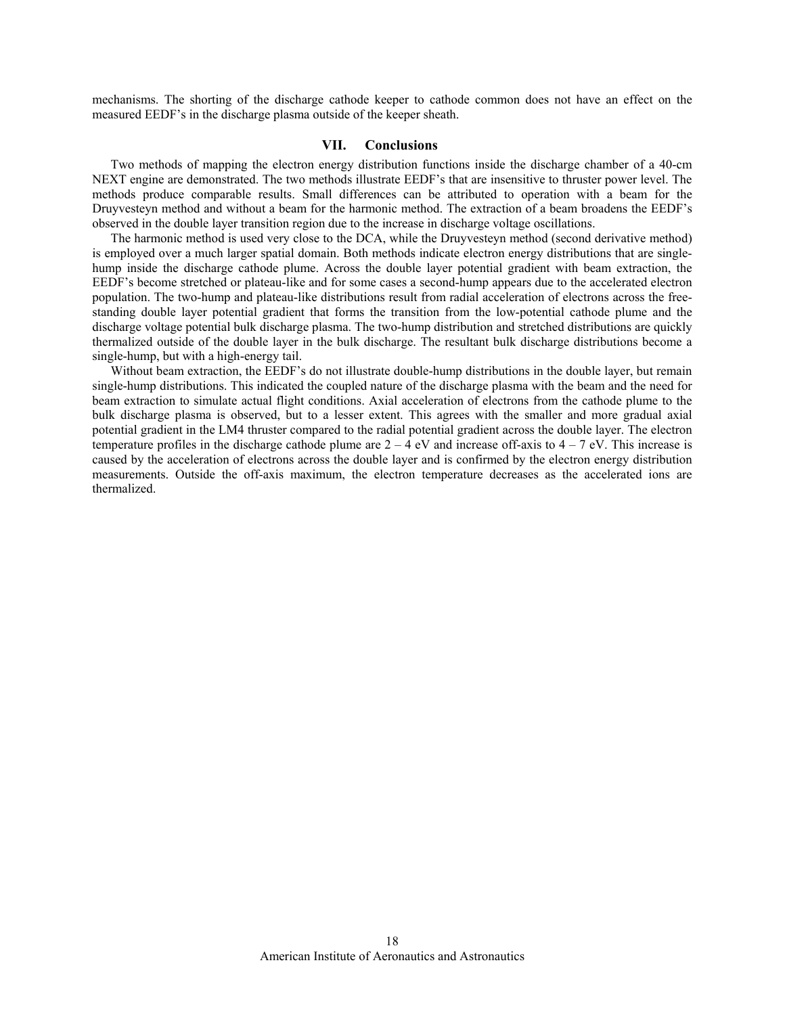mechanisms. The shorting of the discharge cathode keeper to cathode common does not have an effect on the measured EEDF's in the discharge plasma outside of the keeper sheath.

## **VII. Conclusions**

Two methods of mapping the electron energy distribution functions inside the discharge chamber of a 40-cm NEXT engine are demonstrated. The two methods illustrate EEDF's that are insensitive to thruster power level. The methods produce comparable results. Small differences can be attributed to operation with a beam for the Druyvesteyn method and without a beam for the harmonic method. The extraction of a beam broadens the EEDF's observed in the double layer transition region due to the increase in discharge voltage oscillations.

The harmonic method is used very close to the DCA, while the Druyvesteyn method (second derivative method) is employed over a much larger spatial domain. Both methods indicate electron energy distributions that are singlehump inside the discharge cathode plume. Across the double layer potential gradient with beam extraction, the EEDF's become stretched or plateau-like and for some cases a second-hump appears due to the accelerated electron population. The two-hump and plateau-like distributions result from radial acceleration of electrons across the freestanding double layer potential gradient that forms the transition from the low-potential cathode plume and the discharge voltage potential bulk discharge plasma. The two-hump distribution and stretched distributions are quickly thermalized outside of the double layer in the bulk discharge. The resultant bulk discharge distributions become a single-hump, but with a high-energy tail.

Without beam extraction, the EEDF's do not illustrate double-hump distributions in the double layer, but remain single-hump distributions. This indicated the coupled nature of the discharge plasma with the beam and the need for beam extraction to simulate actual flight conditions. Axial acceleration of electrons from the cathode plume to the bulk discharge plasma is observed, but to a lesser extent. This agrees with the smaller and more gradual axial potential gradient in the LM4 thruster compared to the radial potential gradient across the double layer. The electron temperature profiles in the discharge cathode plume are  $2 - 4$  eV and increase off-axis to  $4 - 7$  eV. This increase is caused by the acceleration of electrons across the double layer and is confirmed by the electron energy distribution measurements. Outside the off-axis maximum, the electron temperature decreases as the accelerated ions are thermalized.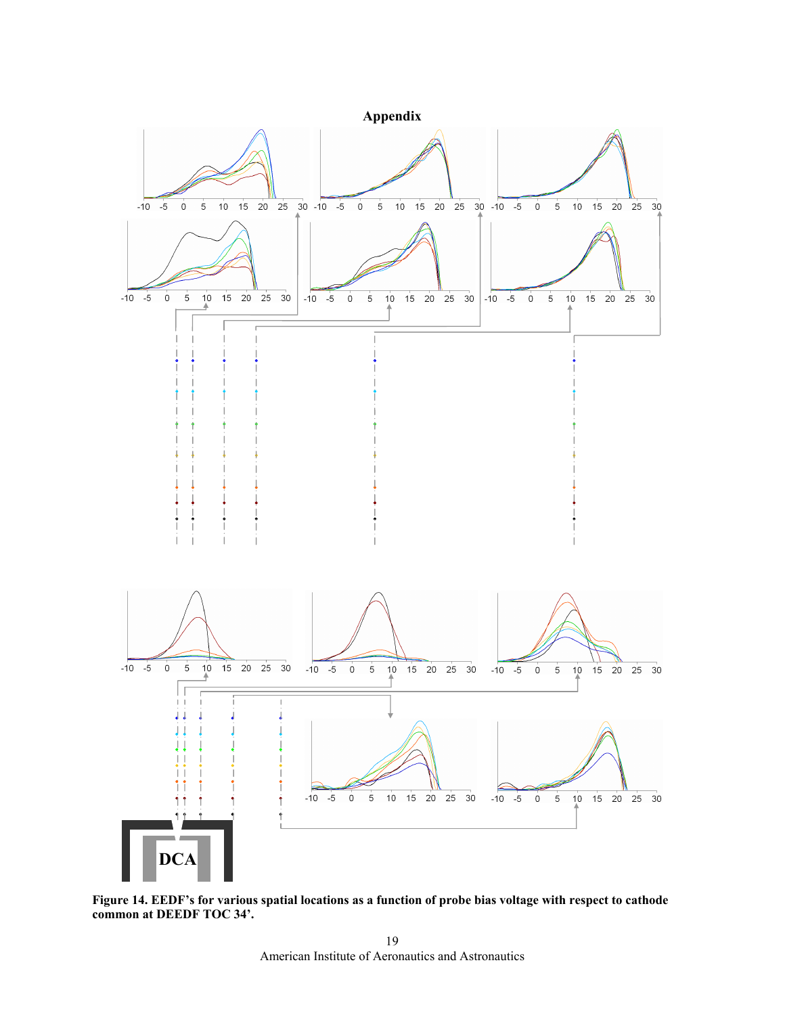

**Figure 14. EEDF's for various spatial locations as a function of probe bias voltage with respect to cathode common at DEEDF TOC 34'.**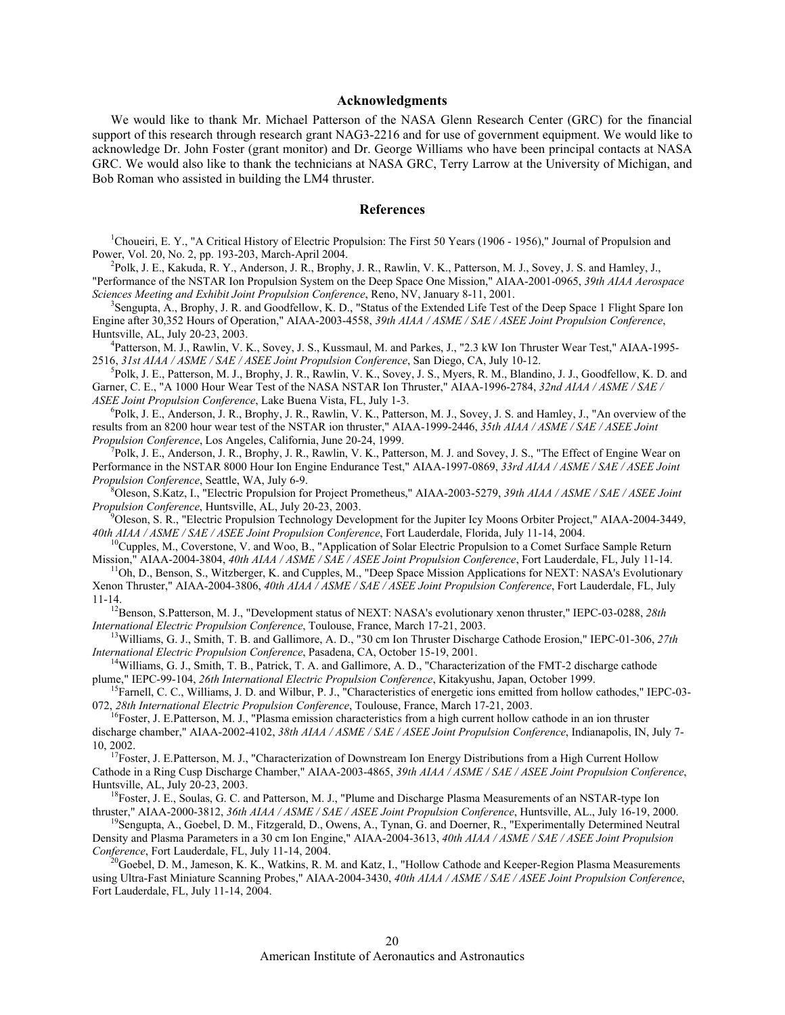## **Acknowledgments**

We would like to thank Mr. Michael Patterson of the NASA Glenn Research Center (GRC) for the financial support of this research through research grant NAG3-2216 and for use of government equipment. We would like to acknowledge Dr. John Foster (grant monitor) and Dr. George Williams who have been principal contacts at NASA GRC. We would also like to thank the technicians at NASA GRC, Terry Larrow at the University of Michigan, and Bob Roman who assisted in building the LM4 thruster.

# **References**

<sup>1</sup>Choueiri, E. Y., "A Critical History of Electric Propulsion: The First 50 Years (1906 - 1956)," Journal of Propulsion and Power, Vol. 20, No. 2, pp. 193-203, March-April 2004. 2

Polk, J. E., Kakuda, R. Y., Anderson, J. R., Brophy, J. R., Rawlin, V. K., Patterson, M. J., Sovey, J. S. and Hamley, J., "Performance of the NSTAR Ion Propulsion System on the Deep Space One Mission," AIAA-2001-0965, *39th AIAA Aerospace Sciences Meeting and Exhibit Joint Propulsion Conference*, Reno, NV, January 8-11, 2001.

Sengupta, A., Brophy, J. R. and Goodfellow, K. D., "Status of the Extended Life Test of the Deep Space 1 Flight Spare Ion Engine after 30,352 Hours of Operation," AIAA-2003-4558, *39th AIAA / ASME / SAE / ASEE Joint Propulsion Conference*, Huntsville, AL, July 20-23, 2003. 4

Patterson, M. J., Rawlin, V. K., Sovey, J. S., Kussmaul, M. and Parkes, J., "2.3 kW Ion Thruster Wear Test," AIAA-1995- 2516, *31st AIAA / ASME / SAE / ASEE Joint Propulsion Conference*, San Diego, CA, July 10-12. 5

<sup>5</sup>Polk, J. E., Patterson, M. J., Brophy, J. R., Rawlin, V. K., Sovey, J. S., Myers, R. M., Blandino, J. J., Goodfellow, K. D. and Garner, C. E., "A 1000 Hour Wear Test of the NASA NSTAR Ion Thruster," AIAA-1996-2784, *32nd AIAA / ASME / SAE / ASEE Joint Propulsion Conference*, Lake Buena Vista, FL, July 1-3. 6

Polk, J. E., Anderson, J. R., Brophy, J. R., Rawlin, V. K., Patterson, M. J., Sovey, J. S. and Hamley, J., "An overview of the results from an 8200 hour wear test of the NSTAR ion thruster," AIAA-1999-2446, *35th AIAA / ASME / SAE / ASEE Joint Propulsion Conference*, Los Angeles, California, June 20-24, 1999.

Polk, J. E., Anderson, J. R., Brophy, J. R., Rawlin, V. K., Patterson, M. J. and Sovey, J. S., "The Effect of Engine Wear on Performance in the NSTAR 8000 Hour Ion Engine Endurance Test," AIAA-1997-0869, *33rd AIAA / ASME / SAE / ASEE Joint Propulsion Conference*, Seattle, WA, July 6-9.

Oleson, S.Katz, I., "Electric Propulsion for Project Prometheus," AIAA-2003-5279, *39th AIAA / ASME / SAE / ASEE Joint Propulsion Conference*, Huntsville, AL, July 20-23, 2003.

<sup>9</sup>Oleson, S. R., "Electric Propulsion Technology Development for the Jupiter Icy Moons Orbiter Project," AIAA-2004-3449,

40th AIAA / ASME / SAE / ASEE Joint Propulsion Conference, Fort Lauderdale, Florida, July 11-14, 2004.<br><sup>10</sup>Cupples, M., Coverstone, V. and Woo, B., "Application of Solar Electric Propulsion to a Comet Surface Sample Return

 $^{11}$ Oh, D., Benson, S., Witzberger, K. and Cupples, M., "Deep Space Mission Applications for NEXT: NASA's Evolutionary Xenon Thruster," AIAA-2004-3806, *40th AIAA / ASME / SAE / ASEE Joint Propulsion Conference*, Fort Lauderdale, FL, July

11-14. 12Benson, S.Patterson, M. J., "Development status of NEXT: NASA's evolutionary xenon thruster," IEPC-03-0288, *28th International Electric Propulsion Conference*, Toulouse, France, March 17-21, 2003.<br><sup>13</sup>Williams, G. J., Smith, T. B. and Gallimore, A. D., "30 cm Ion Thruster Discharge Cathode Erosion," IEPC-01-306, 27th

*International Electric Propulsion Conference*, Pasadena, CA, October 15-19, 2001.<br><sup>14</sup>Williams, G. J., Smith, T. B., Patrick, T. A. and Gallimore, A. D., "Characterization of the FMT-2 discharge cathode<br>plume," IEPC-99-10

<sup>15</sup>Farnell, C. C., Williams, J. D. and Wilbur, P. J., "Characteristics of energetic ions emitted from hollow cathodes," IEPC-03-072, 28th International Electric Propulsion Conference, Toulouse, France, March 17-21, 2003.

<sup>16</sup>Foster, J. E.Patterson, M. J., "Plasma emission characteristics from a high current hollow cathode in an ion thruster discharge chamber," AIAA-2002-4102, *38th AIAA / ASME / SAE / ASEE Joint Propulsion Conference*, Indianapolis, IN, July 7- 10, 2002.<br><sup>17</sup>Foster, J. E.Patterson, M. J., "Characterization of Downstream Ion Energy Distributions from a High Current Hollow

Cathode in a Ring Cusp Discharge Chamber," AIAA-2003-4865, *39th AIAA / ASME / SAE / ASEE Joint Propulsion Conference*,

Huntsville, AL, July 20-23, 2003.<br><sup>18</sup>Foster, J. E., Soulas, G. C. and Patterson, M. J., "Plume and Discharge Plasma Measurements of an NSTAR-type Ion<br>thruster," AIAA-2000-3812, 36th AIAA / ASME / SAE / ASEE Joint Propulsi

<sup>19</sup>Sengupta, A., Goebel, D. M., Fitzgerald, D., Owens, A., Tynan, G. and Doerner, R., "Experimentally Determined Neutral Density and Plasma Parameters in a 30 cm Ion Engine," AIAA-2004-3613, *40th AIAA / ASME / SAE / ASEE Joint Propulsion* 

*Conference*, Fort Lauderdale, FL, July 11-14, 2004.<br><sup>20</sup>Goebel, D. M., Jameson, K. K., Watkins, R. M. and Katz, I., "Hollow Cathode and Keeper-Region Plasma Measurements using Ultra-Fast Miniature Scanning Probes," AIAA-2004-3430, *40th AIAA / ASME / SAE / ASEE Joint Propulsion Conference*, Fort Lauderdale, FL, July 11-14, 2004.